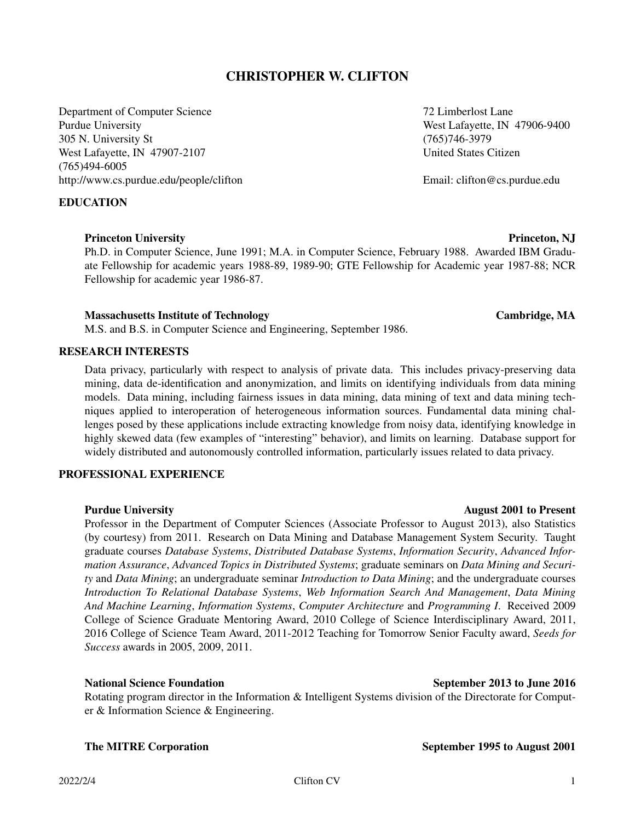# **CHRISTOPHER W. CLIFTON**

Department of Computer Science 72 Limberlost Lane Purdue University **Next Lafayette, IN** 47906-9400 305 N. University St (765)746-3979 West Lafayette, IN 47907-2107 United States Citizen (765)494-6005 http://www.cs.purdue.edu/people/clifton email: clifton ex.purdue.edu

**EDUCATION**

### **Princeton University Princeton, NJ**

Ph.D. in Computer Science, June 1991; M.A. in Computer Science, February 1988. Awarded IBM Graduate Fellowship for academic years 1988-89, 1989-90; GTE Fellowship for Academic year 1987-88; NCR Fellowship for academic year 1986-87.

### **Massachusetts Institute of Technology Cambridge, MA**

M.S. and B.S. in Computer Science and Engineering, September 1986.

## **RESEARCH INTERESTS**

Data privacy, particularly with respect to analysis of private data. This includes privacy-preserving data mining, data de-identification and anonymization, and limits on identifying individuals from data mining models. Data mining, including fairness issues in data mining, data mining of text and data mining techniques applied to interoperation of heterogeneous information sources. Fundamental data mining challenges posed by these applications include extracting knowledge from noisy data, identifying knowledge in highly skewed data (few examples of "interesting" behavior), and limits on learning. Database support for widely distributed and autonomously controlled information, particularly issues related to data privacy.

### **PROFESSIONAL EXPERIENCE**

### **Purdue University August 2001 to Present**

Professor in the Department of Computer Sciences (Associate Professor to August 2013), also Statistics (by courtesy) from 2011. Research on Data Mining and Database Management System Security. Taught graduate courses *Database Systems*, *Distributed Database Systems*, *Information Security*, *Advanced Information Assurance*, *Advanced Topics in Distributed Systems*; graduate seminars on *Data Mining and Security* and *Data Mining*; an undergraduate seminar *Introduction to Data Mining*; and the undergraduate courses *Introduction To Relational Database Systems*, *Web Information Search And Management*, *Data Mining And Machine Learning*, *Information Systems*, *Computer Architecture* and *Programming I*. Received 2009 College of Science Graduate Mentoring Award, 2010 College of Science Interdisciplinary Award, 2011, 2016 College of Science Team Award, 2011-2012 Teaching for Tomorrow Senior Faculty award, *Seeds for Success* awards in 2005, 2009, 2011.

Rotating program director in the Information & Intelligent Systems division of the Directorate for Computer & Information Science & Engineering.

### **National Science Foundation September 2013 to June 2016**

**The MITRE Corporation September 1995 to August 2001**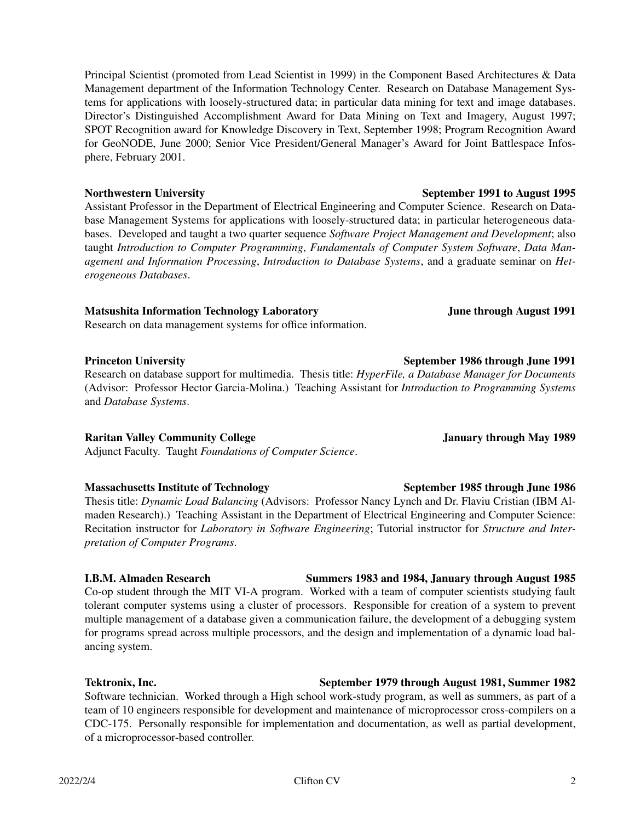Principal Scientist (promoted from Lead Scientist in 1999) in the Component Based Architectures & Data Management department of the Information Technology Center. Research on Database Management Systems for applications with loosely-structured data; in particular data mining for text and image databases. Director's Distinguished Accomplishment Award for Data Mining on Text and Imagery, August 1997; SPOT Recognition award for Knowledge Discovery in Text, September 1998; Program Recognition Award for GeoNODE, June 2000; Senior Vice President/General Manager's Award for Joint Battlespace Infosphere, February 2001.

Assistant Professor in the Department of Electrical Engineering and Computer Science. Research on Database Management Systems for applications with loosely-structured data; in particular heterogeneous databases. Developed and taught a two quarter sequence *Software Project Management and Development*; also taught *Introduction to Computer Programming*, *Fundamentals of Computer System Software*, *Data Management and Information Processing*, *Introduction to Database Systems*, and a graduate seminar on *Heterogeneous Databases*.

### **Matsushita Information Technology Laboratory June through August 1991**

Research on data management systems for office information.

### **Princeton University September 1986 through June 1991**

Research on database support for multimedia. Thesis title: *HyperFile,aDatabase Manager for Documents* (Advisor: Professor Hector Garcia-Molina.) Teaching Assistant for *Introduction to Programming Systems* and *Database Systems*.

### **Raritan Valley Community College January through May 1989**

Adjunct Faculty. Taught *Foundations of Computer Science*.

### **Massachusetts Institute of Technology September 1985 through June 1986**

Thesis title: *Dynamic Load Balancing* (Advisors: Professor Nancy Lynch and Dr. Flaviu Cristian (IBM Almaden Research).) Teaching Assistant in the Department of Electrical Engineering and Computer Science: Recitation instructor for *Laboratory in Software Engineering*; Tutorial instructor for *Structure and Interpretation of Computer Programs*.

### **I.B.M. Almaden Research Summers 1983 and 1984, January through August 1985**

Co-op student through the MIT VI-A program. Worked with a team of computer scientists studying fault tolerant computer systems using a cluster of processors. Responsible for creation of a system to prevent multiple management of a database given a communication failure, the development of a debugging system for programs spread across multiple processors, and the design and implementation of a dynamic load balancing system.

## **Tektronix, Inc. September 1979 through August 1981, Summer 1982**

Software technician. Worked through a High school work-study program, as well as summers, as part of a team of 10 engineers responsible for development and maintenance of microprocessor cross-compilers on a CDC-175. Personally responsible for implementation and documentation, as well as partial development, of a microprocessor-based controller.

# **Northwestern University September 1991 to August 1995**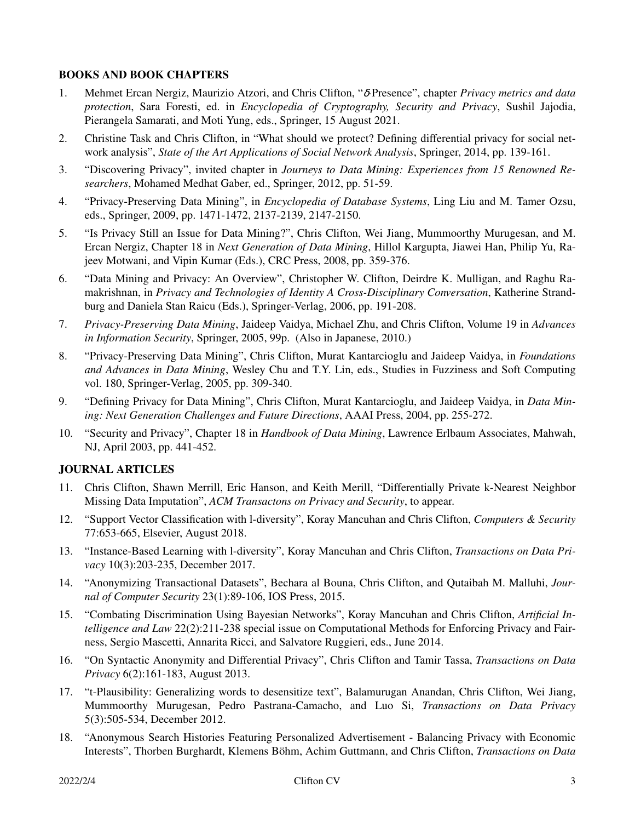## **BOOKS AND BOOK CHAPTERS**

- 1. Mehmet Ercan Nergiz, Maurizio Atzori, and Chris Clifton, "δ-Presence", chapter *Privacy metrics and data protection*, Sara Foresti, ed. in *Encyclopedia of Cryptography, Security and Privacy*, Sushil Jajodia, Pierangela Samarati, and Moti Yung, eds., Springer, 15 August 2021.
- 2. Christine Task and Chris Clifton, in "What should we protect? Defining differential privacy for social network analysis", *State of the Art Applications of Social Network Analysis*, Springer, 2014, pp. 139-161.
- 3. "Discovering Privacy", invited chapter in *Journeys to Data Mining: Experiences from 15 Renowned Researchers*, Mohamed Medhat Gaber, ed., Springer, 2012, pp. 51-59.
- 4. "Privacy-Preserving Data Mining", in *Encyclopedia of Database Systems*, Ling Liu and M. Tamer Ozsu, eds., Springer, 2009, pp. 1471-1472, 2137-2139, 2147-2150.
- 5. "Is Privacy Still an Issue for Data Mining?", Chris Clifton, Wei Jiang, Mummoorthy Murugesan, and M. Ercan Nergiz, Chapter 18 in *Next Generation of Data Mining*, Hillol Kargupta, Jiawei Han, Philip Yu, Rajeev Motwani, and Vipin Kumar (Eds.), CRC Press, 2008, pp. 359-376.
- 6. "Data Mining and Privacy: An Overview", Christopher W. Clifton, Deirdre K. Mulligan, and Raghu Ramakrishnan, in *Privacy and Technologies of Identity A Cross-Disciplinary Conversation*, Katherine Strandburg and Daniela Stan Raicu (Eds.), Springer-Verlag, 2006, pp. 191-208.
- 7. *Privacy-Preserving Data Mining*, Jaideep Vaidya, Michael Zhu, and Chris Clifton, Volume 19 in *Advances in Information Security*, Springer, 2005, 99p. (Also in Japanese, 2010.)
- 8. "Privacy-Preserving Data Mining", Chris Clifton, Murat Kantarcioglu and Jaideep Vaidya, in *Foundations and Advances in Data Mining*, Wesley Chu and T.Y. Lin, eds., Studies in Fuzziness and Soft Computing vol. 180, Springer-Verlag, 2005, pp. 309-340.
- 9. "Defining Privacy for Data Mining", Chris Clifton, Murat Kantarcioglu, and Jaideep Vaidya, in *Data Mining: Next Generation Challenges and Future Directions*, AAAI Press, 2004, pp. 255-272.
- 10. "Security and Privacy", Chapter 18 in *Handbook of Data Mining*, Lawrence Erlbaum Associates, Mahwah, NJ, April 2003, pp. 441-452.

## **JOURNAL ARTICLES**

- 11. Chris Clifton, Shawn Merrill, Eric Hanson, and Keith Merill, "Differentially Private k-Nearest Neighbor Missing Data Imputation", *ACM Transactons on Privacy and Security*, to appear.
- 12. "Support Vector Classification with l-diversity", Koray Mancuhan and Chris Clifton, *Computers & Security* 77:653-665, Elsevier, August 2018.
- 13. "Instance-Based Learning with l-diversity", Koray Mancuhan and Chris Clifton, *Transactions on Data Privacy* 10(3):203-235, December 2017.
- 14. "Anonymizing Transactional Datasets", Bechara al Bouna, Chris Clifton, and Qutaibah M. Malluhi, *Journal of Computer Security* 23(1):89-106, IOS Press, 2015.
- 15. "Combating Discrimination Using Bayesian Networks", Koray Mancuhan and Chris Clifton, *Artificial Intelligence and Law* 22(2):211-238 special issue on Computational Methods for Enforcing Privacy and Fairness, Sergio Mascetti, Annarita Ricci, and Salvatore Ruggieri, eds., June 2014.
- 16. "On Syntactic Anonymity and Differential Privacy", Chris Clifton and Tamir Tassa, *Transactions on Data Privacy* 6(2):161-183, August 2013.
- 17. "t-Plausibility: Generalizing words to desensitize text", Balamurugan Anandan, Chris Clifton, Wei Jiang, Mummoorthy Murugesan, Pedro Pastrana-Camacho, and Luo Si, *Transactions on Data Privacy* 5(3):505-534, December 2012.
- 18. "Anonymous Search Histories Featuring Personalized Advertisement Balancing Privacy with Economic Interests", Thorben Burghardt, Klemens Böhm, Achim Guttmann, and Chris Clifton, *Transactions on Data*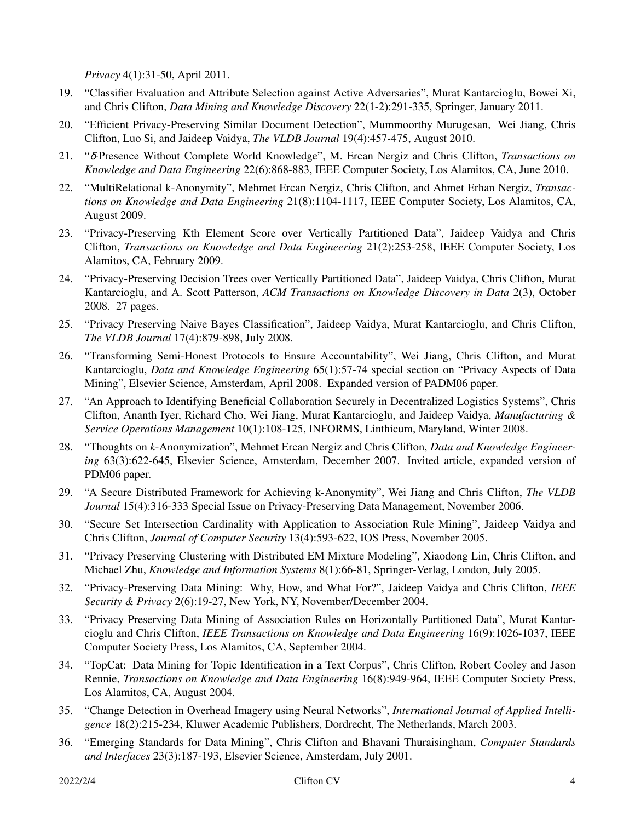*Privacy* 4(1):31-50, April 2011.

- 19. "Classifier Evaluation and Attribute Selection against Active Adversaries", Murat Kantarcioglu, Bowei Xi, and Chris Clifton, *Data Mining and Knowledge Discovery* 22(1-2):291-335, Springer, January 2011.
- 20. "Efficient Privacy-Preserving Similar Document Detection", Mummoorthy Murugesan, Wei Jiang, Chris Clifton, Luo Si, and Jaideep Vaidya, *The VLDB Journal* 19(4):457-475, August 2010.
- 21. "δ-Presence Without Complete World Knowledge", M. Ercan Nergiz and Chris Clifton, *Tr ansactions on Knowledge and Data Engineering* 22(6):868-883, IEEE Computer Society, Los Alamitos, CA, June 2010.
- 22. "MultiRelational k-Anonymity", Mehmet Ercan Nergiz, Chris Clifton, and Ahmet Erhan Nergiz, *Transactions on Knowledge and Data Engineering* 21(8):1104-1117, IEEE Computer Society, Los Alamitos, CA, August 2009.
- 23. "Privacy-Preserving Kth Element Score over Vertically Partitioned Data", Jaideep Vaidya and Chris Clifton, *Transactions on Knowledge and Data Engineering* 21(2):253-258, IEEE Computer Society, Los Alamitos, CA, February 2009.
- 24. "Privacy-Preserving Decision Trees over Vertically Partitioned Data", Jaideep Vaidya, Chris Clifton, Murat Kantarcioglu, and A. Scott Patterson, *ACM Transactions on Knowledge Discovery in Data* 2(3), October 2008. 27 pages.
- 25. "Privacy Preserving Naive Bayes Classification", Jaideep Vaidya, Murat Kantarcioglu, and Chris Clifton, *The VLDB Journal* 17(4):879-898, July 2008.
- 26. "Transforming Semi-Honest Protocols to Ensure Accountability", Wei Jiang, Chris Clifton, and Murat Kantarcioglu, *Data and Knowledge Engineering* 65(1):57-74 special section on "Privacy Aspects of Data Mining", Elsevier Science, Amsterdam, April 2008. Expanded version of PADM06 paper.
- 27. "An Approach to Identifying Beneficial Collaboration Securely in Decentralized Logistics Systems", Chris Clifton, Ananth Iyer, Richard Cho, Wei Jiang, Murat Kantarcioglu, and Jaideep Vaidya, *Manufacturing & Service Operations Management* 10(1):108-125, INFORMS, Linthicum, Maryland, Winter 2008.
- 28. "Thoughts on *k*-Anonymization", Mehmet Ercan Nergiz and Chris Clifton, *Data and Knowledge Engineering* 63(3):622-645, Elsevier Science, Amsterdam, December 2007. Invited article, expanded version of PDM06 paper.
- 29. "A Secure Distributed Framework for Achieving k-Anonymity", Wei Jiang and Chris Clifton, *The VLDB Journal* 15(4):316-333 Special Issue on Privacy-Preserving Data Management, November 2006.
- 30. "Secure Set Intersection Cardinality with Application to Association Rule Mining", Jaideep Vaidya and Chris Clifton, *Journal of Computer Security* 13(4):593-622, IOS Press, November 2005.
- 31. "Privacy Preserving Clustering with Distributed EM Mixture Modeling", Xiaodong Lin, Chris Clifton, and Michael Zhu, *Knowledge and Information Systems* 8(1):66-81, Springer-Verlag, London, July 2005.
- 32. "Privacy-Preserving Data Mining: Why, How, and What For?", Jaideep Vaidya and Chris Clifton, *IEEE Security & Privacy* 2(6):19-27, New York, NY, November/December 2004.
- 33. "Privacy Preserving Data Mining of Association Rules on Horizontally Partitioned Data", Murat Kantarcioglu and Chris Clifton, *IEEE Transactions on Knowledge and Data Engineering* 16(9):1026-1037, IEEE Computer Society Press, Los Alamitos, CA, September 2004.
- 34. "TopCat: Data Mining for Topic Identification in a Text Corpus", Chris Clifton, Robert Cooley and Jason Rennie, *Transactions on Knowledge and Data Engineering* 16(8):949-964, IEEE Computer Society Press, Los Alamitos, CA, August 2004.
- 35. "Change Detection in Overhead Imagery using Neural Networks", *International Journal of Applied Intelligence* 18(2):215-234, Kluwer Academic Publishers, Dordrecht, The Netherlands, March 2003.
- 36. "Emerging Standards for Data Mining", Chris Clifton and Bhavani Thuraisingham, *Computer Standards and Interfaces* 23(3):187-193, Elsevier Science, Amsterdam, July 2001.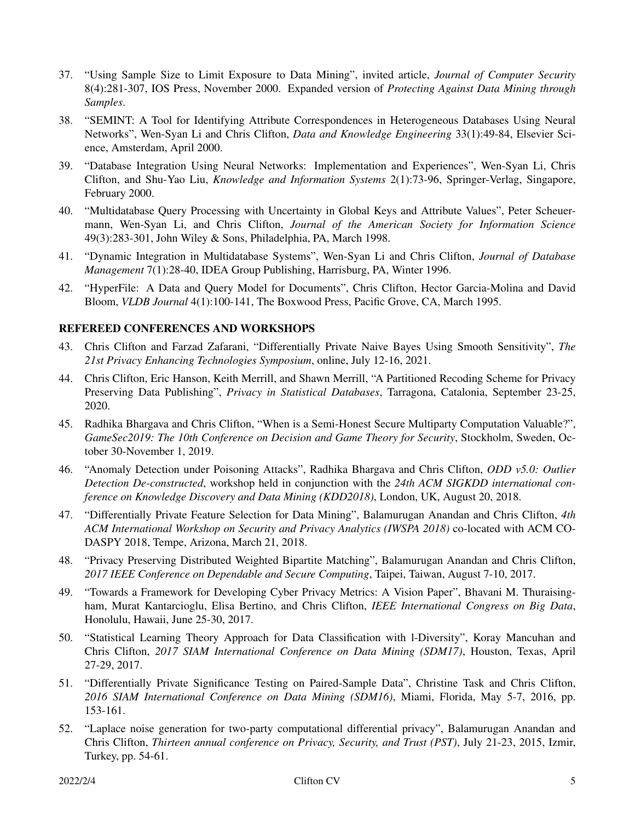- 37. "Using Sample Size to Limit Exposure to Data Mining", invited article, *Journal of Computer Security* 8(4):281-307, IOS Press, November 2000. Expanded version of *Protecting Against Data Mining through Samples*.
- 38. "SEMINT: A Tool for Identifying Attribute Correspondences in Heterogeneous Databases Using Neural Networks", Wen-Syan Li and Chris Clifton, *Data and Knowledge Engineering* 33(1):49-84, Elsevier Science, Amsterdam, April 2000.
- 39. "Database Integration Using Neural Networks: Implementation and Experiences", Wen-Syan Li, Chris Clifton, and Shu-Yao Liu, *Knowledge and Information Systems* 2(1):73-96, Springer-Verlag, Singapore, February 2000.
- 40. "Multidatabase Query Processing with Uncertainty in Global Keys and Attribute Values", Peter Scheuermann, Wen-Syan Li, and Chris Clifton, *Journal of the American Society for Information Science* 49(3):283-301, John Wiley&Sons, Philadelphia, PA, March 1998.
- 41. "Dynamic Integration in Multidatabase Systems", Wen-Syan Li and Chris Clifton, *Journal of Database Management* 7(1):28-40, IDEA Group Publishing, Harrisburg, PA, Winter 1996.
- 42. "HyperFile: A Data and Query Model for Documents", Chris Clifton, Hector Garcia-Molina and David Bloom, *VLDB Journal* 4(1):100-141, The Boxwood Press, Pacific Grove, CA, March 1995.

## **REFEREED CONFERENCES AND WORKSHOPS**

- 43. Chris Clifton and Farzad Zafarani, "Differentially Private Naive Bayes Using Smooth Sensitivity", *The 21st Privacy Enhancing Technologies Symposium*, online, July 12-16, 2021.
- 44. Chris Clifton, Eric Hanson, Keith Merrill, and Shawn Merrill, "A Partitioned Recoding Scheme for Privacy Preserving Data Publishing", *Privacy in Statistical Databases*, Tarragona, Catalonia, September 23-25, 2020.
- 45. Radhika Bhargava and Chris Clifton, "When is a Semi-Honest Secure Multiparty Computation Valuable?", *GameSec2019: The 10th Conference on Decision and Game Theory for Security*, Stockholm, Sweden, October 30-November 1, 2019.
- 46. "Anomaly Detection under Poisoning Attacks", Radhika Bhargava and Chris Clifton, *ODD v5.0: Outlier Detection De-constructed*, workshop held in conjunction with the *24th ACM SIGKDD international conference on Knowledge Discovery and Data Mining (KDD2018)*, London, UK, August 20, 2018.
- 47. "Differentially Private Feature Selection for Data Mining", Balamurugan Anandan and Chris Clifton, *4th ACM International Workshop on Security and Privacy Analytics (IWSPA 2018)* co-located with ACM CO-DASPY 2018, Tempe, Arizona, March 21, 2018.
- 48. "Privacy Preserving Distributed Weighted Bipartite Matching", Balamurugan Anandan and Chris Clifton, *2017 IEEE Conference on Dependable and Secure Computing*, Taipei, Taiwan, August 7-10, 2017.
- 49. "Tow ards a Framework for Developing Cyber Privacy Metrics: A Vision Paper", Bhavani M. Thuraisingham, Murat Kantarcioglu, Elisa Bertino, and Chris Clifton, *IEEE International Congress on Big Data*, Honolulu, Hawaii, June 25-30, 2017.
- 50. "Statistical Learning Theory Approach for Data Classification with l-Diversity", Koray Mancuhan and Chris Clifton, *2017 SIAM International Conference on Data Mining (SDM17)*, Houston, Texas, April 27-29, 2017.
- 51. "Differentially Private Significance Testing on Paired-Sample Data", Christine Task and Chris Clifton, *2016 SIAM International Conference on Data Mining (SDM16)*, Miami, Florida, May 5-7, 2016, pp. 153-161.
- 52. "Laplace noise generation for two-party computational differential privacy", Balamurugan Anandan and Chris Clifton, *Thirteen annual conference on Privacy, Security, and Trust (PST)*, July 21-23, 2015, Izmir, Turkey, pp. 54-61.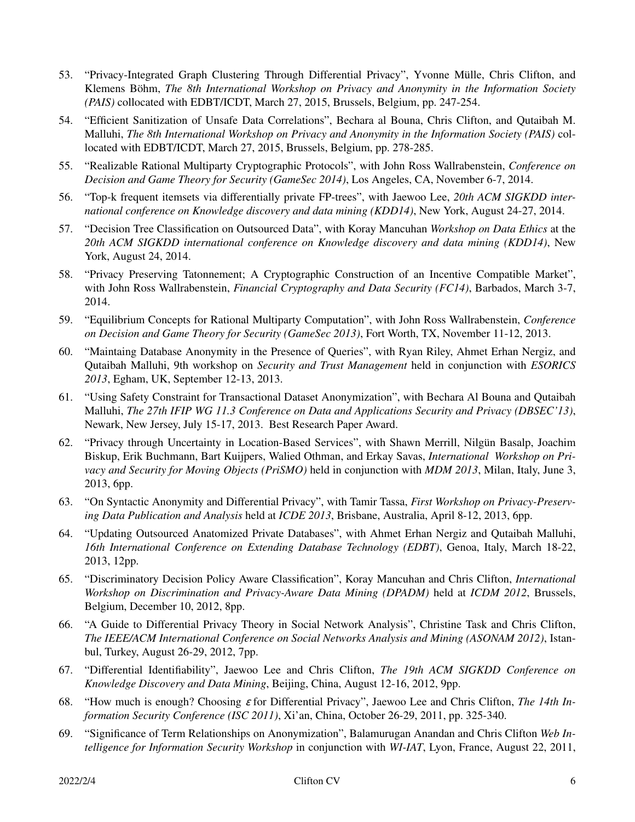- 53. "Privacy-Integrated Graph Clustering Through Differential Privacy", Yvonne Mülle, Chris Clifton, and Klemens Böhm, *The 8th International Workshop on Privacy and Anonymity in the Information Society (PAIS)* collocated with EDBT/ICDT, March 27, 2015, Brussels, Belgium, pp. 247-254.
- 54. "Efficient Sanitization of Unsafe Data Correlations", Bechara al Bouna, Chris Clifton, and Qutaibah M. Malluhi, *The 8th International Workshop on Privacy and Anonymity in the Information Society (PAIS)* collocated with EDBT/ICDT, March 27, 2015, Brussels, Belgium, pp. 278-285.
- 55. "Realizable Rational Multiparty Cryptographic Protocols", with John Ross Wallrabenstein, *Conference on Decision and Game Theory for Security (GameSec 2014)*, Los Angeles, CA, November 6-7, 2014.
- 56. "Top-k frequent itemsets via differentially private FP-trees", with Jaewoo Lee, *20th ACM SIGKDD international conference on Knowledge discovery and data mining (KDD14)*, New York, August 24-27, 2014.
- 57. "Decision Tree Classification on Outsourced Data", with Koray Mancuhan *Workshop on Data Ethics* at the *20th ACM SIGKDD international conference on Knowledge discovery and data mining (KDD14)*, New York, August 24, 2014.
- 58. "Privacy Preserving Tatonnement; A Cryptographic Construction of an Incentive Compatible Market", with John Ross Wallrabenstein, *Financial Cryptography and Data Security (FC14)*, Barbados, March 3-7, 2014.
- 59. "Equilibrium Concepts for Rational Multiparty Computation", with John Ross Wallrabenstein, *Conference on Decision and Game Theory for Security (GameSec 2013)*, Fort Worth, TX, November 11-12, 2013.
- 60. "Maintaing Database Anonymity in the Presence of Queries", with Ryan Riley, Ahmet Erhan Nergiz, and Qutaibah Malluhi, 9th workshop on *Security and Trust Management* held in conjunction with *ESORICS 2013*, Egham, UK, September 12-13, 2013.
- 61. "Using Safety Constraint for Transactional Dataset Anonymization", with Bechara Al Bouna and Qutaibah Malluhi, *The 27th IFIP WG 11.3 Conference on Data and Applications Security and Privacy (DBSEC'13)*, Newark, New Jersey, July 15-17, 2013. Best Research Paper Award.
- 62. "Privacy through Uncertainty in Location-Based Services", with Shawn Merrill, Nilgün Basalp, Joachim Biskup, Erik Buchmann, Bart Kuijpers, Walied Othman, and Erkay Savas, *International Workshop on Privacy and Security for Moving Objects (PriSMO)* held in conjunction with *MDM 2013*, Milan, Italy, June 3, 2013, 6pp.
- 63. "On Syntactic Anonymity and Differential Privacy", with Tamir Tassa, *First Workshop on Privacy-Preserving Data Publication and Analysis* held at *ICDE 2013*, Brisbane, Australia, April 8-12, 2013, 6pp.
- 64. "Updating Outsourced Anatomized Private Databases", with Ahmet Erhan Nergiz and Qutaibah Malluhi, *16th International Conference on Extending Database Technology (EDBT)*, Genoa, Italy, March 18-22, 2013, 12pp.
- 65. "Discriminatory Decision Policy Aware Classification", Koray Mancuhan and Chris Clifton, *International Workshop on Discrimination and Privacy-Aware Data Mining (DPADM)* held at *ICDM 2012*, Brussels, Belgium, December 10, 2012, 8pp.
- 66. "A Guide to Differential Privacy Theory in Social Network Analysis", Christine Task and Chris Clifton, *The IEEE/ACM International Conference on Social Networks Analysis and Mining (ASONAM 2012)*, Istanbul, Turkey, August 26-29, 2012, 7pp.
- 67. "Differential Identifiability", Jaewoo Lee and Chris Clifton, *The 19th ACM SIGKDD Conference on Knowledge Discovery and Data Mining*, Beijing, China, August 12-16, 2012, 9pp.
- 68. "How much is enough? Choosing <sup>ε</sup> for Differential Privacy", Jaewoo Lee and Chris Clifton, *The 14th Information Security Conference (ISC 2011)*, Xi'an, China, October 26-29, 2011, pp. 325-340.
- 69. "Significance of Term Relationships on Anonymization", Balamurugan Anandan and Chris Clifton *Web Intelligence for Information Security Workshop* in conjunction with *WI-IAT*, Lyon, France, August 22, 2011,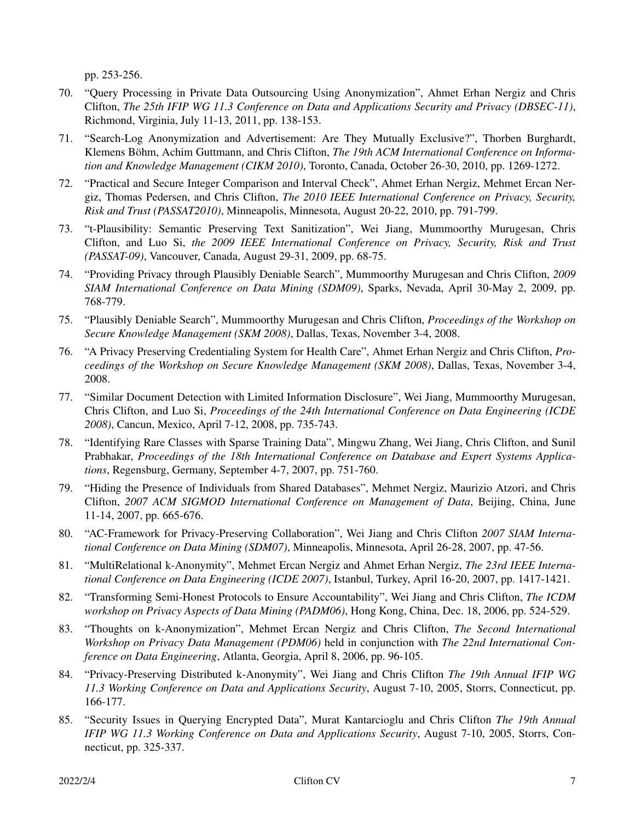pp. 253-256.

- 70. "Query Processing in Private Data Outsourcing Using Anonymization", Ahmet Erhan Nergiz and Chris Clifton, *The 25th IFIP WG 11.3 Conference on Data and Applications Security and Privacy (DBSEC-11)*, Richmond, Virginia, July 11-13, 2011, pp. 138-153.
- 71. "Search-Log Anonymization and Advertisement: Are They Mutually Exclusive?", Thorben Burghardt, Klemens Böhm, Achim Guttmann, and Chris Clifton, *The 19th ACM International Conference on Information and Knowledge Management (CIKM 2010)*, Toronto, Canada, October 26-30, 2010, pp. 1269-1272.
- 72. "Practical and Secure Integer Comparison and Interval Check", Ahmet Erhan Nergiz, Mehmet Ercan Nergiz, Thomas Pedersen, and Chris Clifton, *The 2010 IEEE International Conference on Privacy, Security, Risk and Trust (PASSAT2010)*, Minneapolis, Minnesota, August 20-22, 2010, pp. 791-799.
- 73. "t-Plausibility: Semantic Preserving Text Sanitization", Wei Jiang, Mummoorthy Murugesan, Chris Clifton, and Luo Si, *the 2009 IEEE International Conference on Privacy, Security, Risk and Trust (PASSAT-09)*, Vancouver, Canada, August 29-31, 2009, pp. 68-75.
- 74. "Providing Privacy through Plausibly Deniable Search", Mummoorthy Murugesan and Chris Clifton, *2009 SIAM International Conference on Data Mining (SDM09)*, Sparks, Nevada, April 30-May 2, 2009, pp. 768-779.
- 75. "Plausibly Deniable Search", Mummoorthy Murugesan and Chris Clifton, *Proceedings of the Workshop on Secure Knowledge Management (SKM 2008)*, Dallas, Texas, November 3-4, 2008.
- 76. "A Privacy Preserving Credentialing System for Health Care", Ahmet Erhan Nergiz and Chris Clifton, *Proceedings of the Workshop on Secure Knowledge Management (SKM 2008)*, Dallas, Texas, November 3-4, 2008.
- 77. "Similar Document Detection with Limited Information Disclosure", Wei Jiang, Mummoorthy Murugesan, Chris Clifton, and Luo Si, *Proceedings of the 24th International Conference on Data Engineering (ICDE 2008)*, Cancun, Mexico, April 7-12, 2008, pp. 735-743.
- 78. "Identifying Rare Classes with Sparse Training Data", Mingwu Zhang, Wei Jiang, Chris Clifton, and Sunil Prabhakar, *Proceedings of the 18th International Conference on Database and Expert Systems Applications*, Regensburg, Germany, September 4-7, 2007, pp. 751-760.
- 79. "Hiding the Presence of Individuals from Shared Databases", Mehmet Nergiz, Maurizio Atzori, and Chris Clifton, *2007 ACM SIGMOD International Conference on Management of Data*, Beijing, China, June 11-14, 2007, pp. 665-676.
- 80. "AC-Framework for Privacy-Preserving Collaboration", Wei Jiang and Chris Clifton *2007 SIAM International Conference on Data Mining (SDM07)*, Minneapolis, Minnesota, April 26-28, 2007, pp. 47-56.
- 81. "MultiRelational k-Anonymity", Mehmet Ercan Nergiz and Ahmet Erhan Nergiz, *The 23rd IEEE International Conference on Data Engineering (ICDE 2007)*, Istanbul, Turkey, April 16-20, 2007, pp. 1417-1421.
- 82. "Transforming Semi-Honest Protocols to Ensure Accountability", Wei Jiang and Chris Clifton, *The ICDM workshop on Privacy Aspects of Data Mining (PADM06)*, Hong Kong, China, Dec. 18, 2006, pp. 524-529.
- 83. "Thoughts on k-Anonymization", Mehmet Ercan Nergiz and Chris Clifton, *The Second International Workshop on Privacy Data Management (PDM06)* held in conjunction with *The 22nd International Conference on Data Engineering*, Atlanta, Georgia, April 8, 2006, pp. 96-105.
- 84. "Privacy-Preserving Distributed k-Anonymity", Wei Jiang and Chris Clifton *The 19th Annual IFIP WG 11.3 Working Conference on Data and Applications Security*, August 7-10, 2005, Storrs, Connecticut, pp. 166-177.
- 85. "Security Issues in Querying Encrypted Data", Murat Kantarcioglu and Chris Clifton *The 19th Annual IFIP WG 11.3 Working Conference on Data and Applications Security*, August 7-10, 2005, Storrs, Connecticut, pp. 325-337.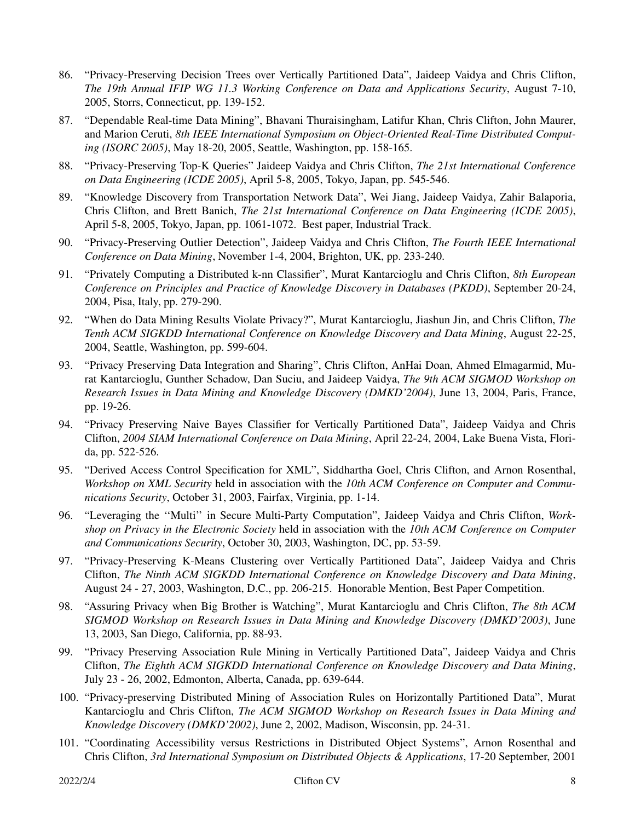- 86. "Privacy-Preserving Decision Trees over Vertically Partitioned Data", Jaideep Vaidya and Chris Clifton, *The 19th Annual IFIP WG 11.3 Working Conference on Data and Applications Security*, August 7-10, 2005, Storrs, Connecticut, pp. 139-152.
- 87. "Dependable Real-time Data Mining", Bhavani Thuraisingham, Latifur Khan, Chris Clifton, John Maurer, and Marion Ceruti, *8th IEEE International Symposium on Object-Oriented Real-Time Distributed Computing (ISORC 2005)*, May 18-20, 2005, Seattle, Washington, pp. 158-165.
- 88. "Privacy-Preserving Top-K Queries" Jaideep Vaidya and Chris Clifton, *The 21st International Conference on Data Engineering (ICDE 2005)*, April 5-8, 2005, Tokyo, Japan, pp. 545-546.
- 89. "Knowledge Discovery from Transportation Network Data", Wei Jiang, Jaideep Vaidya, Zahir Balaporia, Chris Clifton, and Brett Banich, *The 21st International Conference on Data Engineering (ICDE 2005)*, April 5-8, 2005, Tokyo, Japan, pp. 1061-1072. Best paper, Industrial Track.
- 90. "Privacy-Preserving Outlier Detection", Jaideep Vaidya and Chris Clifton, *The Fourth IEEE International Conference on Data Mining*, November 1-4, 2004, Brighton, UK, pp. 233-240.
- 91. "Privately Computing a Distributed k-nn Classifier", Murat Kantarcioglu and Chris Clifton, *8th European Conference on Principles and Practice of Knowledge Discovery in Databases (PKDD)*, September 20-24, 2004, Pisa, Italy, pp. 279-290.
- 92. "When do Data Mining Results Violate Privacy?", Murat Kantarcioglu, Jiashun Jin, and Chris Clifton, *The Tenth ACM SIGKDD International Conference on Knowledge Discovery and Data Mining*, August 22-25, 2004, Seattle, Washington, pp. 599-604.
- 93. "Privacy Preserving Data Integration and Sharing", Chris Clifton, AnHai Doan, Ahmed Elmagarmid, Murat Kantarcioglu, Gunther Schadow, Dan Suciu, and Jaideep Vaidya, *The 9th ACM SIGMOD Workshop on Research Issues in Data Mining and Knowledge Discovery (DMKD'2004)*, June 13, 2004, Paris, France, pp. 19-26.
- 94. "Privacy Preserving Naive Bayes Classifier for Vertically Partitioned Data", Jaideep Vaidya and Chris Clifton, *2004 SIAM International Conference on Data Mining*, April 22-24, 2004, Lake Buena Vista, Florida, pp. 522-526.
- 95. "Derived Access Control Specification for XML", Siddhartha Goel, Chris Clifton, and Arnon Rosenthal, *Workshop on XML Security* held in association with the *10th ACM Conference on Computer and Communications Security*, October 31, 2003, Fairfax, Virginia, pp. 1-14.
- 96. "Leveraging the ''Multi'' in Secure Multi-Party Computation", Jaideep Vaidya and Chris Clifton, *Workshop on Privacy in the Electronic Society* held in association with the *10th ACM Conference on Computer and Communications Security*, October 30, 2003, Washington, DC, pp. 53-59.
- 97. "Privacy-Preserving K-Means Clustering over Vertically Partitioned Data", Jaideep Vaidya and Chris Clifton, *The Ninth ACM SIGKDD International Conference on Knowledge Discovery and Data Mining*, August 24 - 27, 2003, Washington, D.C., pp. 206-215. Honorable Mention, Best Paper Competition.
- 98. "Assuring Privacy when Big Brother is Watching", Murat Kantarcioglu and Chris Clifton, *The 8th ACM SIGMOD Workshop on Research Issues in Data Mining and Knowledge Discovery (DMKD'2003)*, June 13, 2003, San Diego, California, pp. 88-93.
- 99. "Privacy Preserving Association Rule Mining in Vertically Partitioned Data", Jaideep Vaidya and Chris Clifton, *The Eighth ACM SIGKDD International Conference on Knowledge Discovery and Data Mining*, July 23 - 26, 2002, Edmonton, Alberta, Canada, pp. 639-644.
- 100. "Privacy-preserving Distributed Mining of Association Rules on Horizontally Partitioned Data", Murat Kantarcioglu and Chris Clifton, *The ACM SIGMOD Workshop on Research Issues in Data Mining and Knowledge Discovery (DMKD'2002)*, June 2, 2002, Madison, Wisconsin, pp. 24-31.
- 101. "Coordinating Accessibility versus Restrictions in Distributed Object Systems", Arnon Rosenthal and Chris Clifton, *3rd International Symposium on Distributed Objects & Applications*, 17-20 September, 2001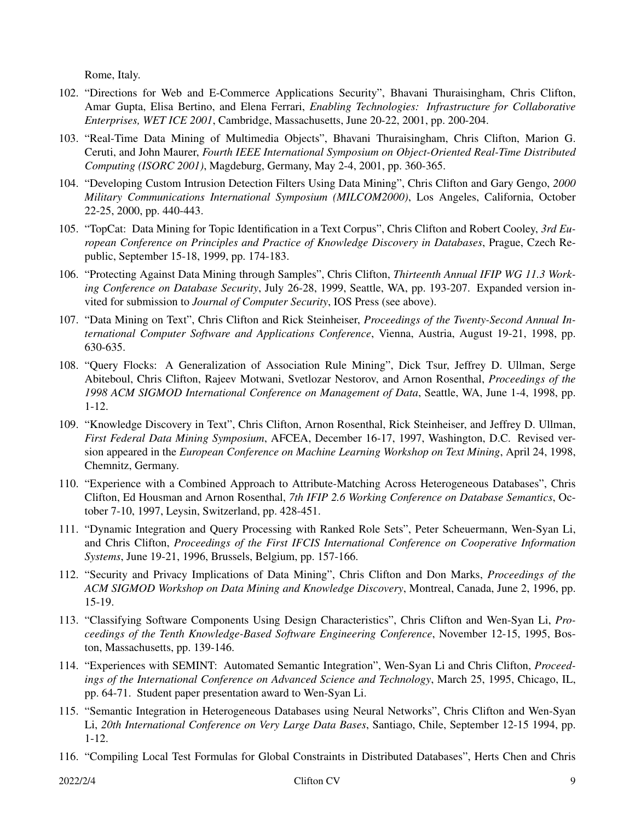Rome, Italy.

- 102. "Directions for Web and E-Commerce Applications Security", Bhavani Thuraisingham, Chris Clifton, Amar Gupta, Elisa Bertino, and Elena Ferrari, *Enabling Technologies: Infrastructure for Collaborative Enterprises, WET ICE 2001*, Cambridge, Massachusetts, June 20-22, 2001, pp. 200-204.
- 103. "Real-Time Data Mining of Multimedia Objects", Bhavani Thuraisingham, Chris Clifton, Marion G. Ceruti, and John Maurer, *Fourth IEEE International Symposium on Object-Oriented Real-Time Distributed Computing (ISORC 2001)*, Magdeburg, Germany, May 2-4, 2001, pp. 360-365.
- 104. "Developing Custom Intrusion Detection Filters Using Data Mining", Chris Clifton and Gary Gengo, *2000 Military Communications International Symposium (MILCOM2000)*, Los Angeles, California, October 22-25, 2000, pp. 440-443.
- 105. "TopCat: Data Mining for Topic Identification in a Text Corpus", Chris Clifton and Robert Cooley, *3rd European Conference on Principles and Practice of Knowledge Discovery in Databases*, Prague, Czech Republic, September 15-18, 1999, pp. 174-183.
- 106. "Protecting Against Data Mining through Samples", Chris Clifton, *Thirteenth Annual IFIP WG 11.3 Working Conference on Database Security*, July 26-28, 1999, Seattle, WA, pp. 193-207. Expanded version invited for submission to *Journal of Computer Security*, IOS Press (see above).
- 107. "Data Mining on Text", Chris Clifton and Rick Steinheiser, *Proceedings of the Twenty-Second Annual International Computer Software and Applications Conference*, Vienna, Austria, August 19-21, 1998, pp. 630-635.
- 108. "Query Flocks: A Generalization of Association Rule Mining", Dick Tsur, Jeffrey D. Ullman, Serge Abiteboul, Chris Clifton, Rajeev Motwani, Svetlozar Nestorov, and Arnon Rosenthal, *Proceedings of the 1998 ACM SIGMOD International Conference on Management of Data*, Seattle, WA, June 1-4, 1998, pp. 1-12.
- 109. "Knowledge Discovery in Text", Chris Clifton, Arnon Rosenthal, Rick Steinheiser, and Jeffrey D. Ullman, *First Federal Data Mining Symposium*, AFCEA, December 16-17, 1997, Washington, D.C. Revised version appeared in the *European Conference on Machine Learning Workshop on Text Mining*, April 24, 1998, Chemnitz, Germany.
- 110. "Experience with a Combined Approach to Attribute-Matching Across Heterogeneous Databases", Chris Clifton, Ed Housman and Arnon Rosenthal, *7th IFIP 2.6 Working Conference on Database Semantics*, October 7-10, 1997, Leysin, Switzerland, pp. 428-451.
- 111. "Dynamic Integration and Query Processing with Ranked Role Sets", Peter Scheuermann, Wen-Syan Li, and Chris Clifton, *Proceedings of the First IFCIS International Conference on Cooperative Information Systems*, June 19-21, 1996, Brussels, Belgium, pp. 157-166.
- 112. "Security and Privacy Implications of Data Mining", Chris Clifton and Don Marks, *Proceedings of the ACM SIGMOD Workshop on Data Mining and Knowledge Discovery*, Montreal, Canada, June 2, 1996, pp. 15-19.
- 113. "Classifying Software Components Using Design Characteristics", Chris Clifton and Wen-Syan Li, *Proceedings of the Tenth Knowledge-Based Software Engineering Conference*, November 12-15, 1995, Boston, Massachusetts, pp. 139-146.
- 114. "Experiences with SEMINT: Automated Semantic Integration", Wen-Syan Li and Chris Clifton, *Proceedings of the International Conference on Advanced Science and Technology*, March 25, 1995, Chicago, IL, pp. 64-71. Student paper presentation award to Wen-Syan Li.
- 115. "Semantic Integration in Heterogeneous Databases using Neural Networks", Chris Clifton and Wen-Syan Li, *20th International Conference on Very Large Data Bases*, Santiago, Chile, September 12-15 1994, pp. 1-12.
- 116. "Compiling Local Test Formulas for Global Constraints in Distributed Databases", Herts Chen and Chris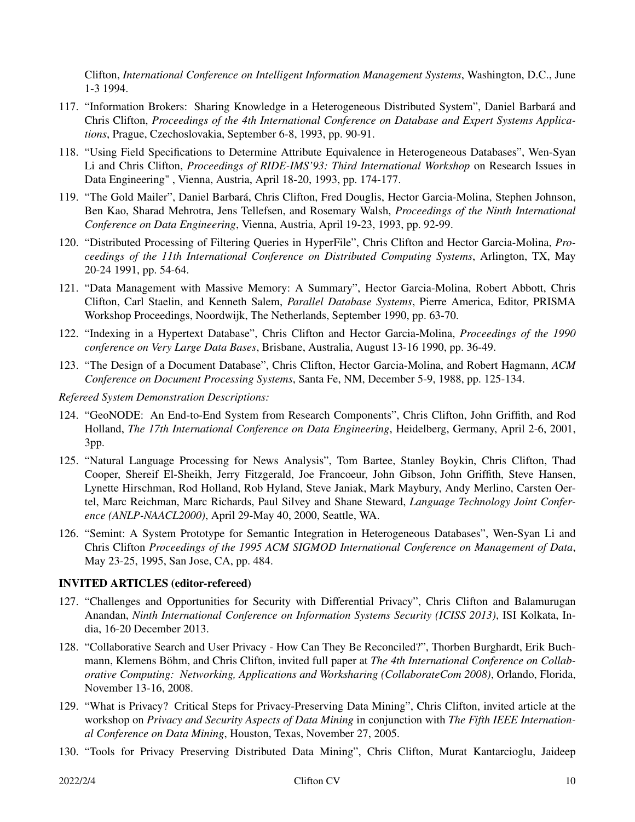Clifton, *International Conference on Intelligent Information Management Systems*, Washington, D.C., June 1-3 1994.

- 117. "Information Brokers: Sharing Knowledge in a Heterogeneous Distributed System", Daniel Barbara´ and Chris Clifton, *Proceedings of the 4th International Conference on Database and Expert Systems Applications*, Prague, Czechoslovakia, September 6-8, 1993, pp. 90-91.
- 118. "Using Field Specifications to Determine Attribute Equivalence in Heterogeneous Databases", Wen-Syan Li and Chris Clifton, *Proceedings of RIDE-IMS'93: Third International Workshop* on Research Issues in Data Engineering" , Vienna, Austria, April 18-20, 1993, pp. 174-177.
- 119. "The Gold Mailer", Daniel Barbara´, Chris Clifton, Fred Douglis, Hector Garcia-Molina, Stephen Johnson, Ben Kao, Sharad Mehrotra, Jens Tellefsen, and Rosemary Walsh, *Proceedings of the Ninth International Conference on Data Engineering*, Vienna, Austria, April 19-23, 1993, pp. 92-99.
- 120. "Distributed Processing of Filtering Queries in HyperFile", Chris Clifton and Hector Garcia-Molina, *Proceedings of the 11th International Conference on Distributed Computing Systems*, Arlington, TX, May 20-24 1991, pp. 54-64.
- 121. "Data Management with Massive Memory: A Summary", Hector Garcia-Molina, Robert Abbott, Chris Clifton, Carl Staelin, and Kenneth Salem, *Parallel Database Systems*, Pierre America, Editor, PRISMA Workshop Proceedings, Noordwijk, The Netherlands, September 1990, pp. 63-70.
- 122. "Indexing in a Hypertext Database", Chris Clifton and Hector Garcia-Molina, *Proceedings of the 1990 conference on Very Large Data Bases*, Brisbane, Australia, August 13-16 1990, pp. 36-49.
- 123. "The Design of a Document Database", Chris Clifton, Hector Garcia-Molina, and Robert Hagmann, *ACM Conference on Document Processing Systems*, Santa Fe, NM, December 5-9, 1988, pp. 125-134.

*Refereed System Demonstration Descriptions:*

- 124. "GeoNODE: An End-to-End System from Research Components", Chris Clifton, John Griffith, and Rod Holland, *The 17th International Conference on Data Engineering*, Heidelberg, Germany, April 2-6, 2001, 3pp.
- 125. "Natural Language Processing for News Analysis", Tom Bartee, Stanley Boykin, Chris Clifton, Thad Cooper, Shereif El-Sheikh, Jerry Fitzgerald, Joe Francoeur, John Gibson, John Griffith, Steve Hansen, Lynette Hirschman, Rod Holland, Rob Hyland, Steve Janiak, Mark Maybury, Andy Merlino, Carsten Oertel, Marc Reichman, Marc Richards, Paul Silvey and Shane Steward, *Language Technology Joint Conference (ANLP-NAACL2000)*, April 29-May 40, 2000, Seattle, WA.
- 126. "Semint: A System Prototype for Semantic Integration in Heterogeneous Databases", Wen-Syan Li and Chris Clifton *Proceedings of the 1995 ACM SIGMOD International Conference on Management of Data*, May 23-25, 1995, San Jose, CA, pp. 484.

## **INVITED ARTICLES (editor-refereed)**

- 127. "Challenges and Opportunities for Security with Differential Privacy", Chris Clifton and Balamurugan Anandan, *Ninth International Conference on Information Systems Security (ICISS 2013)*, ISI Kolkata, India, 16-20 December 2013.
- 128. "Collaborative Search and User Privacy How Can They Be Reconciled?", Thorben Burghardt, Erik Buchmann, Klemens Böhm, and Chris Clifton, invited full paper at *The 4th International Conference on Collaborative Computing: Networking, Applications and Worksharing (CollaborateCom 2008)*, Orlando, Florida, November 13-16, 2008.
- 129. "What is Privacy? Critical Steps for Privacy-Preserving Data Mining", Chris Clifton, invited article at the workshop on *Privacy and Security Aspects of Data Mining* in conjunction with *The Fifth IEEE International Conference on Data Mining*, Houston, Texas, November 27, 2005.
- 130. "Tools for Privacy Preserving Distributed Data Mining", Chris Clifton, Murat Kantarcioglu, Jaideep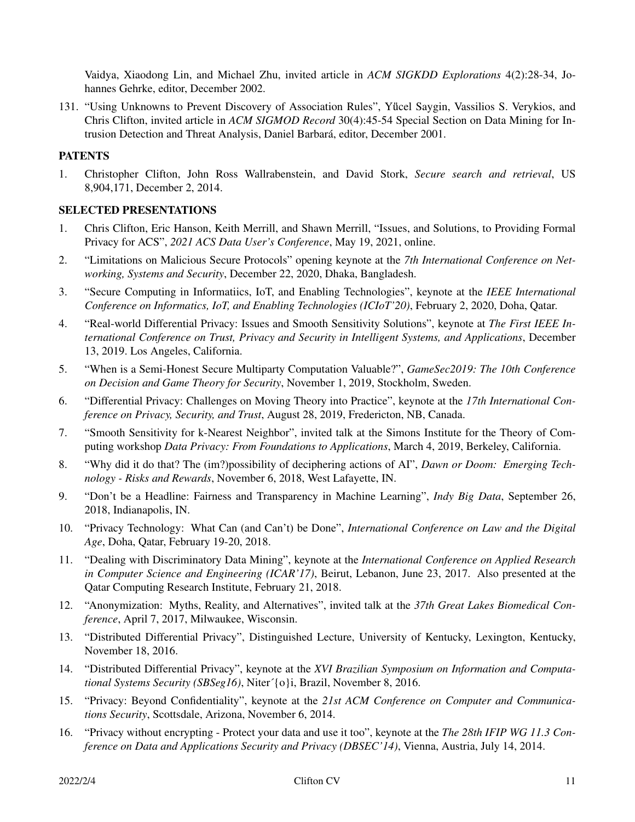Vaidya, Xiaodong Lin, and Michael Zhu, invited article in *ACM SIGKDD Explorations* 4(2):28-34, Johannes Gehrke, editor, December 2002.

131. "Using Unknowns to Prevent Discovery of Association Rules", Yucel Saygin, Vassilios S. Verykios, and Chris Clifton, invited article in *ACM SIGMOD Record* 30(4):45-54 Special Section on Data Mining for Intrusion Detection and Threat Analysis, Daniel Barbará, editor, December 2001.

## **PATENTS**

1. Christopher Clifton, John Ross Wallrabenstein, and David Stork, *Secure search and retrieval*, US 8,904,171, December 2, 2014.

## **SELECTED PRESENTATIONS**

- 1. Chris Clifton, Eric Hanson, Keith Merrill, and Shawn Merrill, "Issues, and Solutions, to Providing Formal Privacy for ACS", *2021 ACS Data User's Conference*, May 19, 2021, online.
- 2. "Limitations on Malicious Secure Protocols" opening keynote at the *7th International Conference on Networking, Systems and Security*, December 22, 2020, Dhaka, Bangladesh.
- 3. "Secure Computing in Informatiics, IoT, and Enabling Technologies", keynote at the *IEEE International Conference on Informatics, IoT, and Enabling Technologies (ICIoT'20)*, February 2, 2020, Doha, Qatar.
- 4. "Real-world Differential Privacy: Issues and Smooth Sensitivity Solutions", keynote at *The First IEEE International Conference on Trust, Privacy and Security in Intelligent Systems, and Applications*, December 13, 2019. Los Angeles, California.
- 5. "When is a Semi-Honest Secure Multiparty Computation Valuable?", *GameSec2019: The 10th Conference on Decision and Game Theory for Security*, November 1, 2019, Stockholm, Sweden.
- 6. "Differential Privacy: Challenges on Moving Theory into Practice", keynote at the *17th International Conference on Privacy, Security, and Trust*, August 28, 2019, Fredericton, NB, Canada.
- 7. "Smooth Sensitivity for k-Nearest Neighbor", invited talk at the Simons Institute for the Theory of Computing workshop *Data Privacy: From Foundations to Applications*, March 4, 2019, Berkeley, California.
- 8. "Why did it do that? The (im?)possibility of deciphering actions of AI", *Dawn or Doom: Emerging Technology - Risks and Rewards*, November 6, 2018, West Lafayette, IN.
- 9. "Don't be a Headline: Fairness and Transparency in Machine Learning", *Indy Big Data*, September 26, 2018, Indianapolis, IN.
- 10. "Privacy Technology: What Can (and Can't) be Done", *International Conference on Law and the Digital Age*, Doha, Qatar, February 19-20, 2018.
- 11. "Dealing with Discriminatory Data Mining", keynote at the *International Conference on Applied Research in Computer Science and Engineering (ICAR'17)*, Beirut, Lebanon, June 23, 2017. Also presented at the Qatar Computing Research Institute, February 21, 2018.
- 12. "Anonymization: Myths, Reality, and Alternatives", invited talk at the *37th Great Lakes Biomedical Conference*, April 7, 2017, Milwaukee, Wisconsin.
- 13. "Distributed Differential Privacy", Distinguished Lecture, University of Kentucky, Lexington, Kentucky, November 18, 2016.
- 14. "Distributed Differential Privacy", keynote at the *XVI Brazilian Symposium on Information and Computational Systems Security (SBSeg16)*, Niter´{o}i, Brazil, November 8, 2016.
- 15. "Privacy: Beyond Confidentiality", keynote at the *21st ACM Conference on Computer and Communications Security*, Scottsdale, Arizona, November 6, 2014.
- 16. "Privacy without encrypting Protect your data and use it too", keynote at the *The 28th IFIP WG 11.3 Conference on Data and Applications Security and Privacy (DBSEC'14)*, Vienna, Austria, July 14, 2014.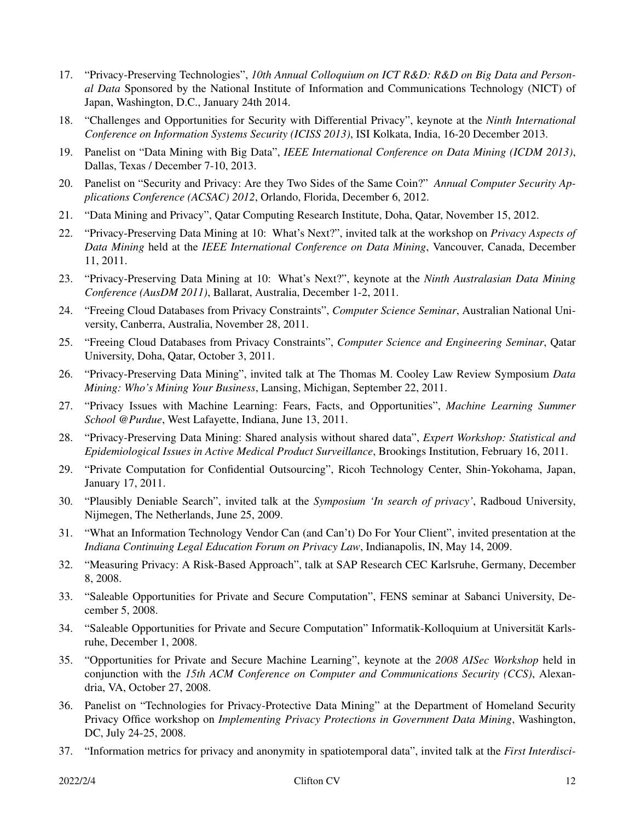- 17. "Privacy-Preserving Technologies", *10th Annual Colloquium on ICT R&D: R&D on Big Data and Personal Data* Sponsored by the National Institute of Information and Communications Technology (NICT) of Japan, Washington, D.C., January 24th 2014.
- 18. "Challenges and Opportunities for Security with Differential Privacy", keynote at the *Ninth International Conference on Information Systems Security (ICISS 2013)*, ISI Kolkata, India, 16-20 December 2013.
- 19. Panelist on "Data Mining with Big Data", *IEEE International Conference on Data Mining (ICDM 2013)*, Dallas, Texas / December 7-10, 2013.
- 20. Panelist on "Security and Privacy: Are they Two Sides of the Same Coin?" *Annual Computer Security Applications Conference (ACSAC) 2012*, Orlando, Florida, December 6, 2012.
- 21. "Data Mining and Privacy", Qatar Computing Research Institute, Doha, Qatar, November 15, 2012.
- 22. "Privacy-Preserving Data Mining at 10: What's Next?", invited talk at the workshop on *Privacy Aspects of Data Mining* held at the *IEEE International Conference on Data Mining*, Vancouver, Canada, December 11, 2011.
- 23. "Privacy-Preserving Data Mining at 10: What's Next?", keynote at the *Ninth Australasian Data Mining Conference (AusDM 2011)*, Ballarat, Australia, December 1-2, 2011.
- 24. "Freeing Cloud Databases from Privacy Constraints", *Computer Science Seminar*, Australian National University, Canberra, Australia, November 28, 2011.
- 25. "Freeing Cloud Databases from Privacy Constraints", *Computer Science and Engineering Seminar*, Qatar University, Doha, Qatar, October 3, 2011.
- 26. "Privacy-Preserving Data Mining", invited talk at The Thomas M. Cooley Law Review Symposium *Data Mining: Who's Mining Your Business*, Lansing, Michigan, September 22, 2011.
- 27. "Privacy Issues with Machine Learning: Fears, Facts, and Opportunities", *Machine Learning Summer School @Purdue*, West Lafayette, Indiana, June 13, 2011.
- 28. "Privacy-Preserving Data Mining: Shared analysis without shared data", *Expert Workshop: Statistical and Epidemiological Issues in Active Medical Product Surveillance*, Brookings Institution, February 16, 2011.
- 29. "Private Computation for Confidential Outsourcing", Ricoh Technology Center, Shin-Yokohama, Japan, January 17, 2011.
- 30. "Plausibly Deniable Search", invited talk at the *Symposium 'In search of privacy'*, Radboud University, Nijmegen, The Netherlands, June 25, 2009.
- 31. "What an Information Technology Vendor Can (and Can't) Do For Your Client", invited presentation at the *Indiana Continuing Legal Education Forum on Privacy Law*, Indianapolis, IN, May 14, 2009.
- 32. "Measuring Privacy:ARisk-Based Approach", talk at SAP Research CEC Karlsruhe, Germany, December 8, 2008.
- 33. "Saleable Opportunities for Private and Secure Computation", FENS seminar at Sabanci University, December 5, 2008.
- 34. "Saleable Opportunities for Private and Secure Computation" Informatik-Kolloquium at Universität Karlsruhe, December 1, 2008.
- 35. "Opportunities for Private and Secure Machine Learning", keynote at the *2008 AISec Workshop* held in conjunction with the *15th ACM Conference on Computer and Communications Security (CCS)*, Alexandria, VA, October 27, 2008.
- 36. Panelist on "Technologies for Privacy-Protective Data Mining" at the Department of Homeland Security Privacy Office workshop on *Implementing Privacy Protections in Government Data Mining*, Washington, DC, July 24-25, 2008.
- 37. "Information metrics for privacy and anonymity in spatiotemporal data", invited talk at the *First Interdisci-*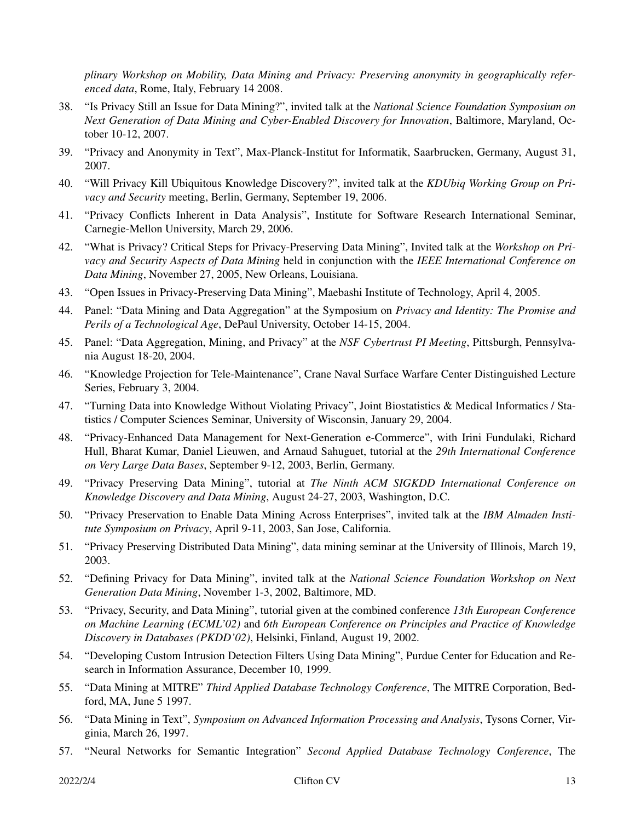*plinary Workshop on Mobility, Data Mining and Privacy: Preserving anonymity in geographically referenced data*, Rome, Italy, February 14 2008.

- 38. "Is Privacy Still an Issue for Data Mining?", invited talk at the *National Science Foundation Symposium on Next Generation of Data Mining and Cyber-Enabled Discovery for Innovation*, Baltimore, Maryland, October 10-12, 2007.
- 39. "Privacy and Anonymity in Text", Max-Planck-Institut for Informatik, Saarbrucken, Germany, August 31, 2007.
- 40. "Will Privacy Kill Ubiquitous Knowledge Discovery?", invited talk at the *KDUbiq Working Group on Privacy and Security* meeting, Berlin, Germany, September 19, 2006.
- 41. "Privacy Conflicts Inherent in Data Analysis", Institute for Software Research International Seminar, Carnegie-Mellon University, March 29, 2006.
- 42. "What is Privacy? Critical Steps for Privacy-Preserving Data Mining", Invited talk at the *Workshop on Privacy and Security Aspects of Data Mining* held in conjunction with the *IEEE International Conference on Data Mining*, November 27, 2005, New Orleans, Louisiana.
- 43. "Open Issues in Privacy-Preserving Data Mining", Maebashi Institute of Technology, April 4, 2005.
- 44. Panel: "Data Mining and Data Aggregation" at the Symposium on *Privacy and Identity: The Promise and Perils of a Technological Age*, DePaul University, October 14-15, 2004.
- 45. Panel: "Data Aggregation, Mining, and Privacy" at the *NSF Cybertrust PI Meeting*, Pittsburgh, Pennsylvania August 18-20, 2004.
- 46. "Knowledge Projection for Tele-Maintenance", Crane Naval Surface Warfare Center Distinguished Lecture Series, February 3, 2004.
- 47. "Turning Data into Knowledge Without Violating Privacy", Joint Biostatistics & Medical Informatics / Statistics / Computer Sciences Seminar, University of Wisconsin, January 29, 2004.
- 48. "Privacy-Enhanced Data Management for Next-Generation e-Commerce", with Irini Fundulaki, Richard Hull, Bharat Kumar, Daniel Lieuwen, and Arnaud Sahuguet, tutorial at the *29th International Conference on Very Large Data Bases*, September 9-12, 2003, Berlin, Germany.
- 49. "Privacy Preserving Data Mining", tutorial at *The Ninth ACM SIGKDD International Conference on Knowledge Discovery and Data Mining*, August 24-27, 2003, Washington, D.C.
- 50. "Privacy Preservation to Enable Data Mining Across Enterprises", invited talk at the *IBM Almaden Institute Symposium on Privacy*, April 9-11, 2003, San Jose, California.
- 51. "Privacy Preserving Distributed Data Mining", data mining seminar at the University of Illinois, March 19, 2003.
- 52. "Defining Privacy for Data Mining", invited talk at the *National Science Foundation Workshop on Next Generation Data Mining*, November 1-3, 2002, Baltimore, MD.
- 53. "Privacy, Security, and Data Mining", tutorial given at the combined conference *13th European Conference on Machine Learning (ECML'02)* and *6th European Conference on Principles and Practice of Knowledge Discovery in Databases (PKDD'02)*, Helsinki, Finland, August 19, 2002.
- 54. "Developing Custom Intrusion Detection Filters Using Data Mining", Purdue Center for Education and Research in Information Assurance, December 10, 1999.
- 55. "Data Mining at MITRE" *Third Applied Database Technology Conference*, The MITRE Corporation, Bedford, MA, June 5 1997.
- 56. "Data Mining in Text", *Symposium on Advanced Information Processing and Analysis*, Tysons Corner, Virginia, March 26, 1997.
- 57. "Neural Networks for Semantic Integration" *Second Applied Database Technology Conference*, The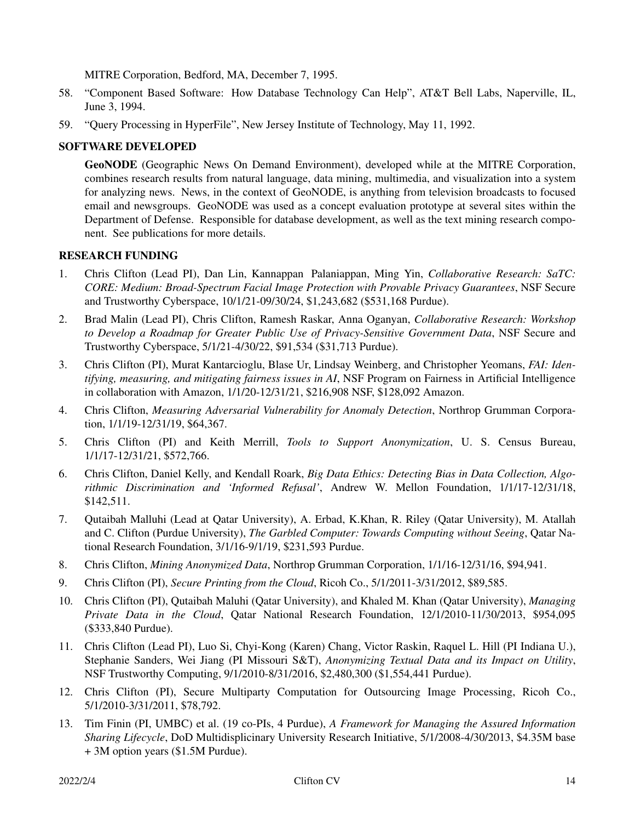MITRE Corporation, Bedford, MA, December 7, 1995.

- 58. "Component Based Software: How Database Technology Can Help", AT&T Bell Labs, Naperville, IL, June 3, 1994.
- 59. "Query Processing in HyperFile", New Jersey Institute of Technology, May 11, 1992.

## **SOFTWARE DEVELOPED**

**GeoNODE** (Geographic News On Demand Environment), developed while at the MITRE Corporation, combines research results from natural language, data mining, multimedia, and visualization into a system for analyzing news. News, in the context of GeoNODE, is anything from television broadcasts to focused email and newsgroups. GeoNODE was used as a concept evaluation prototype at several sites within the Department of Defense. Responsible for database development, as well as the text mining research component. See publications for more details.

## **RESEARCH FUNDING**

- 1. Chris Clifton (Lead PI), Dan Lin, Kannappan Palaniappan, Ming Yin, *Collaborative Research: SaTC: CORE: Medium: Broad-Spectrum Facial Image Protection with Provable Privacy Guarantees*, NSF Secure and Trustworthy Cyberspace, 10/1/21-09/30/24, \$1,243,682 (\$531,168 Purdue).
- 2. Brad Malin (Lead PI), Chris Clifton, Ramesh Raskar, Anna Oganyan, *Collaborative Research: Workshop to Develop a Roadmap for Greater Public Use of Privacy-Sensitive Government Data*, NSF Secure and Trustworthy Cyberspace, 5/1/21-4/30/22, \$91,534 (\$31,713 Purdue).
- 3. Chris Clifton (PI), Murat Kantarcioglu, Blase Ur, Lindsay Weinberg, and Christopher Yeomans, *FAI: Identifying, measuring, and mitigating fairness issues in AI*, NSF Program on Fairness in Artificial Intelligence in collaboration with Amazon, 1/1/20-12/31/21, \$216,908 NSF, \$128,092 Amazon.
- 4. Chris Clifton, *Measuring Adversarial Vulnerability for Anomaly Detection*, Northrop Grumman Corporation, 1/1/19-12/31/19, \$64,367.
- 5. Chris Clifton (PI) and Keith Merrill, *Tools to Support Anonymization*, U. S. Census Bureau, 1/1/17-12/31/21, \$572,766.
- 6. Chris Clifton, Daniel Kelly, and Kendall Roark, *Big Data Ethics: Detecting Bias in Data Collection, Algorithmic Discrimination and 'Informed Refusal'*, Andrew W. Mellon Foundation, 1/1/17-12/31/18, \$142,511.
- 7. Qutaibah Malluhi (Lead at Qatar University), A. Erbad, K.Khan, R. Riley (Qatar University), M. Atallah and C. Clifton (Purdue University), *The Garbled Computer: Towards Computing without Seeing*, Qatar National Research Foundation, 3/1/16-9/1/19, \$231,593 Purdue.
- 8. Chris Clifton, *Mining Anonymized Data*, Northrop Grumman Corporation, 1/1/16-12/31/16, \$94,941.
- 9. Chris Clifton (PI), *Secure Printing from the Cloud*, Ricoh Co., 5/1/2011-3/31/2012, \$89,585.
- 10. Chris Clifton (PI), Qutaibah Maluhi (Qatar University), and Khaled M. Khan (Qatar University), *Managing Private Data in the Cloud*, Qatar National Research Foundation, 12/1/2010-11/30/2013, \$954,095 (\$333,840 Purdue).
- 11. Chris Clifton (Lead PI), Luo Si, Chyi-Kong (Karen) Chang, Victor Raskin, Raquel L. Hill (PI Indiana U.), Stephanie Sanders, Wei Jiang (PI Missouri S&T), *Anonymizing Textual Data and its Impact on Utility*, NSF Trustworthy Computing, 9/1/2010-8/31/2016, \$2,480,300 (\$1,554,441 Purdue).
- 12. Chris Clifton (PI), Secure Multiparty Computation for Outsourcing Image Processing, Ricoh Co., 5/1/2010-3/31/2011, \$78,792.
- 13. Tim Finin (PI, UMBC) et al. (19 co-PIs, 4 Purdue), *A Framework for Managing the Assured Information Sharing Lifecycle*, DoD Multidisplicinary University Research Initiative, 5/1/2008-4/30/2013, \$4.35M base + 3M option years (\$1.5M Purdue).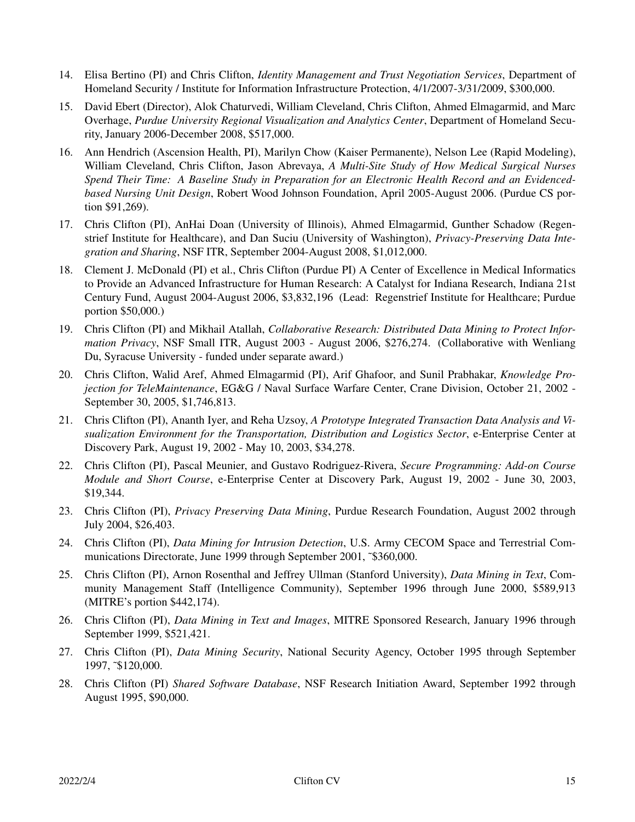- 14. Elisa Bertino (PI) and Chris Clifton, *Identity Management and Trust Negotiation Services*, Department of Homeland Security / Institute for Information Infrastructure Protection, 4/1/2007-3/31/2009, \$300,000.
- 15. David Ebert (Director), Alok Chaturvedi, William Cleveland, Chris Clifton, Ahmed Elmagarmid, and Marc Overhage, *Purdue University Regional Visualization and Analytics Center*, Department of Homeland Security, January 2006-December 2008, \$517,000.
- 16. Ann Hendrich (Ascension Health, PI), Marilyn Chow (Kaiser Permanente), Nelson Lee (Rapid Modeling), William Cleveland, Chris Clifton, Jason Abrevaya, *A Multi-Site Study of How Medical Surgical Nurses Spend Their Time: A Baseline Study in Preparation for an Electronic Health Record and an Evidencedbased Nursing Unit Design*, Robert Wood Johnson Foundation, April 2005-August 2006. (Purdue CS portion \$91,269).
- 17. Chris Clifton (PI), AnHai Doan (University of Illinois), Ahmed Elmagarmid, Gunther Schadow (Regenstrief Institute for Healthcare), and Dan Suciu (University of Washington), *Privacy-Preserving Data Integration and Sharing*, NSF ITR, September 2004-August 2008, \$1,012,000.
- 18. Clement J. McDonald (PI) et al., Chris Clifton (Purdue PI) A Center of Excellence in Medical Informatics to Provide an Advanced Infrastructure for Human Research: A Catalyst for Indiana Research, Indiana 21st Century Fund, August 2004-August 2006, \$3,832,196 (Lead: Regenstrief Institute for Healthcare; Purdue portion \$50,000.)
- 19. Chris Clifton (PI) and Mikhail Atallah, *Collaborative Research: Distributed Data Mining to Protect Information Privacy*, NSF Small ITR, August 2003 - August 2006, \$276,274. (Collaborative with Wenliang Du, Syracuse University - funded under separate award.)
- 20. Chris Clifton, Walid Aref, Ahmed Elmagarmid (PI), Arif Ghafoor, and Sunil Prabhakar, *Knowledge Projection for TeleMaintenance*, EG&G / Naval Surface Warfare Center, Crane Division, October 21, 2002 - September 30, 2005, \$1,746,813.
- 21. Chris Clifton (PI), Ananth Iyer, and Reha Uzsoy, *A Prototype Integrated Transaction Data Analysis and Visualization Environment for the Transportation, Distribution and Logistics Sector*, e-Enterprise Center at Discovery Park, August 19, 2002 - May 10, 2003, \$34,278.
- 22. Chris Clifton (PI), Pascal Meunier, and Gustavo Rodriguez-Rivera, *Secure Programming: Add-on Course Module and Short Course*, e-Enterprise Center at Discovery Park, August 19, 2002 - June 30, 2003, \$19,344.
- 23. Chris Clifton (PI), *Privacy Preserving Data Mining*, Purdue Research Foundation, August 2002 through July 2004, \$26,403.
- 24. Chris Clifton (PI), *Data Mining for Intrusion Detection*, U.S. Army CECOM Space and Terrestrial Communications Directorate, June 1999 through September 2001, ˜\$360,000.
- 25. Chris Clifton (PI), Arnon Rosenthal and Jeffrey Ullman (Stanford University), *Data Mining in Text*, Community Management Staff (Intelligence Community), September 1996 through June 2000, \$589,913 (MITRE's portion \$442,174).
- 26. Chris Clifton (PI), *Data Mining in Text and Images*, MITRE Sponsored Research, January 1996 through September 1999, \$521,421.
- 27. Chris Clifton (PI), *Data Mining Security*, National Security Agency, October 1995 through September 1997, ˜\$120,000.
- 28. Chris Clifton (PI) *Shared Software Database*, NSF Research Initiation Award, September 1992 through August 1995, \$90,000.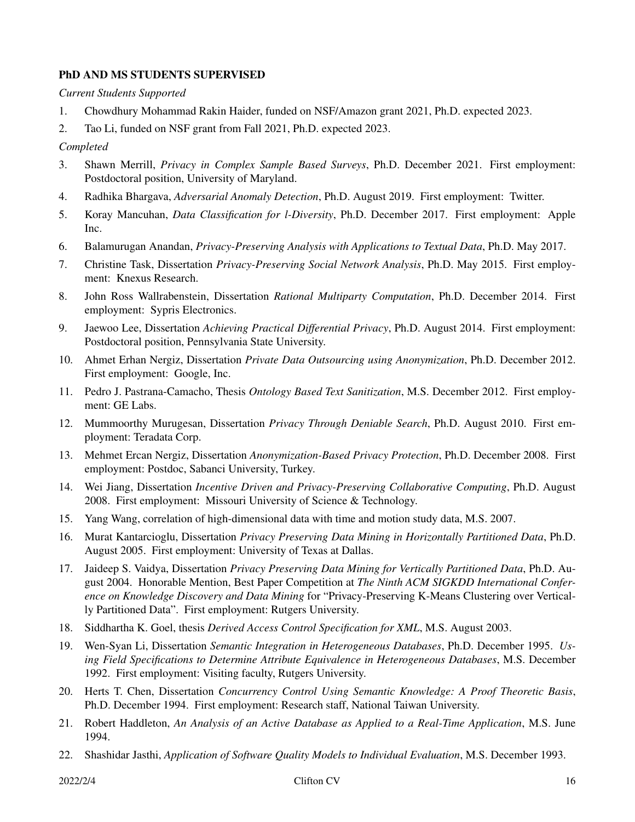## **PhD AND MS STUDENTS SUPERVISED**

*Current Students Supported*

- 1. Chowdhury Mohammad Rakin Haider, funded on NSF/Amazon grant 2021, Ph.D. expected 2023.
- 2. Tao Li, funded on NSF grant from Fall 2021, Ph.D. expected 2023.

## *Completed*

- 3. Shawn Merrill, *Privacy in Complex Sample Based Surveys*, Ph.D. December 2021. First employment: Postdoctoral position, University of Maryland.
- 4. Radhika Bhargava, *Adversarial Anomaly Detection*, Ph.D. August 2019. First employment: Twitter.
- 5. Koray Mancuhan, *Data Classification for l-Diversity*, Ph.D. December 2017. First employment: Apple Inc.
- 6. Balamurugan Anandan, *Privacy-Preserving Analysis with Applications to Textual Data*, Ph.D. May 2017.
- 7. Christine Task, Dissertation *Privacy-Preserving Social Network Analysis*, Ph.D. May 2015. First employment: Knexus Research.
- 8. John Ross Wallrabenstein, Dissertation *Rational Multiparty Computation*, Ph.D. December 2014. First employment: Sypris Electronics.
- 9. Jaewoo Lee, Dissertation *Achieving Practical Differential Privacy*, Ph.D. August 2014. First employment: Postdoctoral position, Pennsylvania State University.
- 10. Ahmet Erhan Nergiz, Dissertation *Private Data Outsourcing using Anonymization*, Ph.D. December 2012. First employment: Google, Inc.
- 11. Pedro J. Pastrana-Camacho, Thesis *Ontology Based Text Sanitization*, M.S. December 2012. First employment: GE Labs.
- 12. Mummoorthy Murugesan, Dissertation *Privacy Through Deniable Search*, Ph.D. August 2010. First employment: Teradata Corp.
- 13. Mehmet Ercan Nergiz, Dissertation *Anonymization-Based Privacy Protection*, Ph.D. December 2008. First employment: Postdoc, Sabanci University, Turkey.
- 14. Wei Jiang, Dissertation *Incentive Driven and Privacy-Preserving Collaborative Computing*, Ph.D. August 2008. First employment: Missouri University of Science & Technology.
- 15. Yang Wang, correlation of high-dimensional data with time and motion study data, M.S. 2007.
- 16. Murat Kantarcioglu, Dissertation *Privacy Preserving Data Mining in Horizontally Partitioned Data*, Ph.D. August 2005. First employment: University of Texas at Dallas.
- 17. Jaideep S. Vaidya, Dissertation *Privacy Preserving Data Mining for Vertically Partitioned Data*, Ph.D. August 2004. Honorable Mention, Best Paper Competition at *The Ninth ACM SIGKDD International Conference on Knowledge Discovery and Data Mining* for "Privacy-Preserving K-Means Clustering over Vertically Partitioned Data". First employment: Rutgers University.
- 18. Siddhartha K. Goel, thesis *Derived Access Control Specification for XML*, M.S. August 2003.
- 19. Wen-Syan Li, Dissertation *Semantic Integration in Heterogeneous Databases*, Ph.D. December 1995. *Using Field Specifications to Determine Attribute Equivalence in Heterogeneous Databases*, M.S. December 1992. First employment: Visiting faculty, Rutgers University.
- 20. Herts T. Chen, Dissertation *Concurrency Control Using Semantic Knowledge: A Proof Theoretic Basis*, Ph.D. December 1994. First employment: Research staff, National Taiwan University.
- 21. Robert Haddleton, *An Analysis of an Active Database as Applied to a Real-Time Application*, M.S. June 1994.
- 22. Shashidar Jasthi, *Application of Software Quality Models to Individual Evaluation*, M.S. December 1993.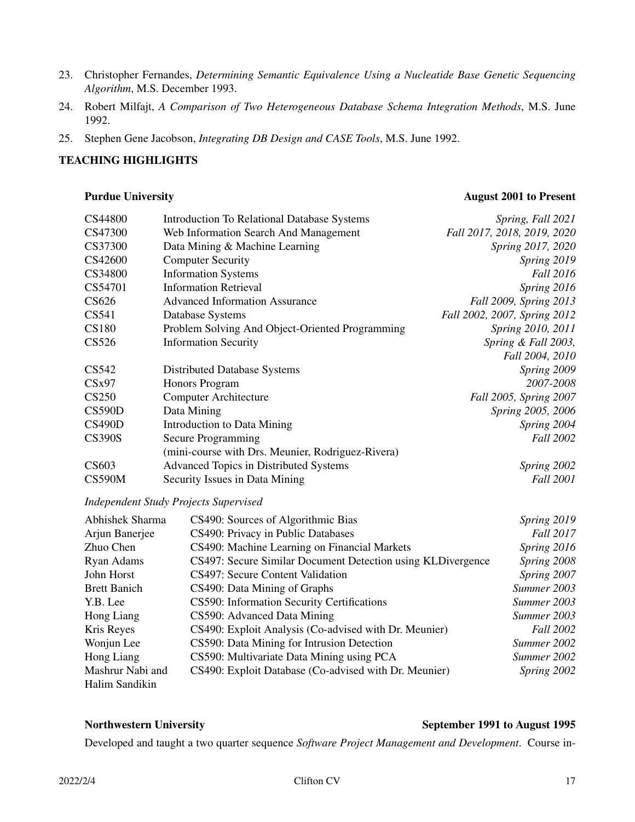- 23. Christopher Fernandes, *Determining Semantic Equivalence Using a Nucleatide Base Genetic Sequencing Algorithm*, M.S. December 1993.
- 24. Robert Milfajt, *A Comparison of Two Heterogeneous Database Schema Integration Methods*, M.S. June 1992.
- 25. Stephen Gene Jacobson, *Integrating DB Design and CASE Tools*, M.S. June 1992.

## **TEACHING HIGHLIGHTS**

### **Purdue University August 2001 to Present**

| CS44800       | <b>Introduction To Relational Database Systems</b> | Spring, Fall 2021            |
|---------------|----------------------------------------------------|------------------------------|
| CS47300       | Web Information Search And Management              | Fall 2017, 2018, 2019, 2020  |
| CS37300       | Data Mining & Machine Learning                     | Spring 2017, 2020            |
| CS42600       | <b>Computer Security</b>                           | Spring 2019                  |
| CS34800       | <b>Information Systems</b>                         | <b>Fall 2016</b>             |
| CS54701       | <b>Information Retrieval</b>                       | Spring 2016                  |
| CS626         | <b>Advanced Information Assurance</b>              | Fall 2009, Spring 2013       |
| CS541         | Database Systems                                   | Fall 2002, 2007, Spring 2012 |
| <b>CS180</b>  | Problem Solving And Object-Oriented Programming    | Spring 2010, 2011            |
| CS526         | <b>Information Security</b>                        | Spring & Fall 2003,          |
|               |                                                    | Fall 2004, 2010              |
| CS542         | <b>Distributed Database Systems</b>                | Spring 2009                  |
| CSx97         | <b>Honors Program</b>                              | 2007-2008                    |
| <b>CS250</b>  | <b>Computer Architecture</b>                       | Fall 2005, Spring 2007       |
| <b>CS590D</b> | Data Mining                                        | Spring 2005, 2006            |
| CS490D        | <b>Introduction to Data Mining</b>                 | Spring 2004                  |
| <b>CS390S</b> | Secure Programming                                 | Fall 2002                    |
|               | (mini-course with Drs. Meunier, Rodriguez-Rivera)  |                              |
| CS603         | Advanced Topics in Distributed Systems             | Spring 2002                  |
| <b>CS590M</b> | Security Issues in Data Mining                     | <b>Fall 2001</b>             |

## *Independent Study Projects Supervised*

| Abhishek Sharma     | CS490: Sources of Algorithmic Bias                          | Spring 2019      |
|---------------------|-------------------------------------------------------------|------------------|
| Arjun Banerjee      | CS490: Privacy in Public Databases                          | Fall 2017        |
| Zhuo Chen           | CS490: Machine Learning on Financial Markets                | Spring 2016      |
| Ryan Adams          | CS497: Secure Similar Document Detection using KLDivergence | Spring 2008      |
| John Horst          | CS497: Secure Content Validation                            | Spring 2007      |
| <b>Brett Banich</b> | CS490: Data Mining of Graphs                                | Summer 2003      |
| Y.B. Lee            | CS590: Information Security Certifications                  | Summer 2003      |
| Hong Liang          | CS590: Advanced Data Mining                                 | Summer 2003      |
| Kris Reyes          | CS490: Exploit Analysis (Co-advised with Dr. Meunier)       | <b>Fall 2002</b> |
| Wonjun Lee          | CS590: Data Mining for Intrusion Detection                  | Summer 2002      |
| Hong Liang          | CS590: Multivariate Data Mining using PCA                   | Summer 2002      |
| Mashrur Nabi and    | CS490: Exploit Database (Co-advised with Dr. Meunier)       | Spring 2002      |
| Halim Sandikin      |                                                             |                  |

## **Northwestern University September 1991 to August 1995**

Developed and taught a two quarter sequence *Software Project Management and Development*. Course in-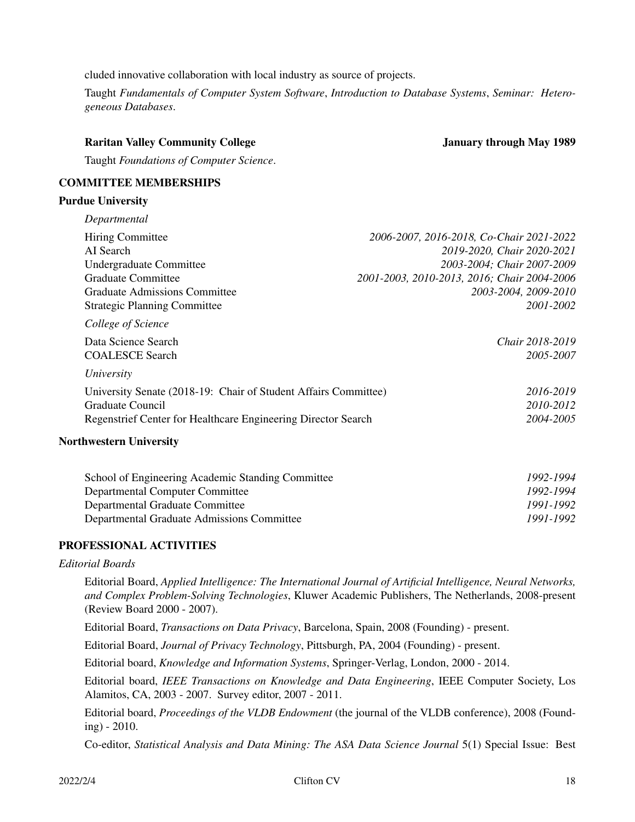cluded innovative collaboration with local industry as source of projects.

Taught *Fundamentals of Computer System Software*, *Introduction to Database Systems*, *Seminar: Heterogeneous Databases*.

# **Raritan Valley Community College January through May 1989**

Taught *Foundations of Computer Science*.

## **COMMITTEE MEMBERSHIPS**

### **Purdue University**

| <b>Hiring Committee</b>                                         | 2006-2007, 2016-2018, Co-Chair 2021-2022    |
|-----------------------------------------------------------------|---------------------------------------------|
| AI Search                                                       | 2019-2020, Chair 2020-2021                  |
| Undergraduate Committee                                         | 2003-2004; Chair 2007-2009                  |
| Graduate Committee                                              | 2001-2003, 2010-2013, 2016; Chair 2004-2006 |
| <b>Graduate Admissions Committee</b>                            | 2003-2004, 2009-2010                        |
| <b>Strategic Planning Committee</b>                             | 2001-2002                                   |
| College of Science                                              |                                             |
| Data Science Search                                             | Chair 2018-2019                             |
| <b>COALESCE Search</b>                                          | 2005-2007                                   |
| University                                                      |                                             |
| University Senate (2018-19: Chair of Student Affairs Committee) | 2016-2019                                   |
| Graduate Council                                                | 2010-2012                                   |
| Regenstrief Center for Healthcare Engineering Director Search   | 2004-2005                                   |

| School of Engineering Academic Standing Committee | 1992-1994 |
|---------------------------------------------------|-----------|
| Departmental Computer Committee                   | 1992-1994 |
| Departmental Graduate Committee                   | 1991-1992 |
| Departmental Graduate Admissions Committee        | 1991-1992 |

### **PROFESSIONAL ACTIVITIES**

### *Editorial Boards*

Editorial Board, *Applied Intelligence: The International Journal of Artificial Intelligence, Neural Networks, and Complex Problem-Solving Technologies*, Kluwer Academic Publishers, The Netherlands, 2008-present (Review Board 2000 - 2007).

Editorial Board, *Transactions on Data Privacy*, Barcelona, Spain, 2008 (Founding) - present.

Editorial Board, *Journal of Privacy Technology*, Pittsburgh, PA, 2004 (Founding) - present.

Editorial board, *Knowledge and Information Systems*, Springer-Verlag, London, 2000 - 2014.

Editorial board, *IEEE Transactions on Knowledge and Data Engineering*, IEEE Computer Society, Los Alamitos, CA, 2003 - 2007. Survey editor, 2007 - 2011.

Editorial board, *Proceedings of the VLDB Endowment* (the journal of the VLDB conference), 2008 (Founding) - 2010.

Co-editor, *Statistical Analysis and Data Mining: The ASA Data Science Journal* 5(1) Special Issue: Best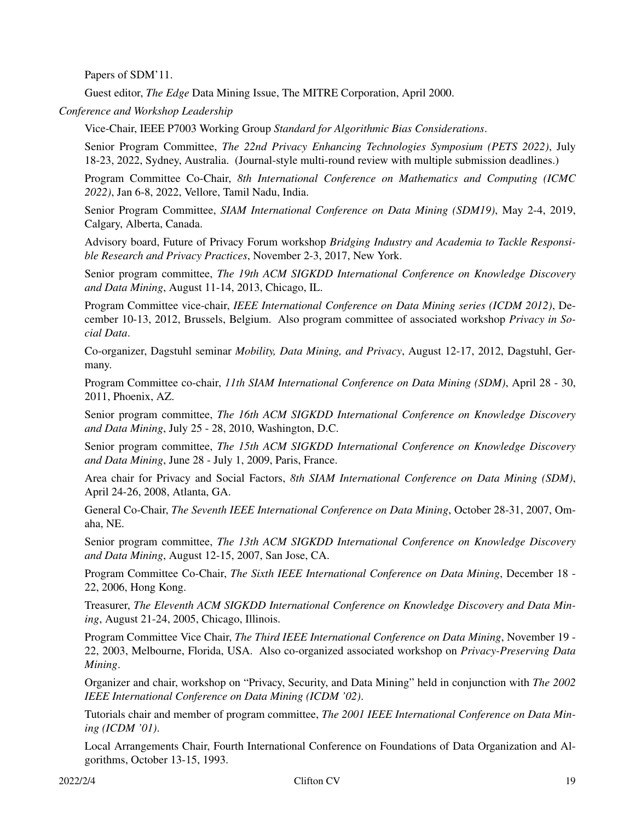Papers of SDM'11.

Guest editor, *The Edge* Data Mining Issue, The MITRE Corporation, April 2000.

*Conference and Workshop Leadership*

Vice-Chair, IEEE P7003 Working Group *Standard for Algorithmic Bias Considerations*.

Senior Program Committee, *The 22nd Privacy Enhancing Technologies Symposium (PETS 2022)*, July 18-23, 2022, Sydney, Australia. (Journal-style multi-round review with multiple submission deadlines.)

Program Committee Co-Chair, *8th International Conference on Mathematics and Computing (ICMC 2022)*, Jan 6-8, 2022, Vellore, Tamil Nadu, India.

Senior Program Committee, *SIAM International Conference on Data Mining (SDM19)*, May 2-4, 2019, Calgary, Alberta, Canada.

Advisory board, Future of Privacy Forum workshop *Bridging Industry and Academia to Tackle Responsible Research and Privacy Practices*, November 2-3, 2017, New York.

Senior program committee, *The 19th ACM SIGKDD International Conference on Knowledge Discovery and Data Mining*, August 11-14, 2013, Chicago, IL.

Program Committee vice-chair, *IEEE International Conference on Data Mining series (ICDM 2012)*, December 10-13, 2012, Brussels, Belgium. Also program committee of associated workshop *Privacy in Social Data*.

Co-organizer, Dagstuhl seminar *Mobility, Data Mining, and Privacy*, August 12-17, 2012, Dagstuhl, Germany.

Program Committee co-chair, *11th SIAM International Conference on Data Mining (SDM)*, April 28 - 30, 2011, Phoenix, AZ.

Senior program committee, *The 16th ACM SIGKDD International Conference on Knowledge Discovery and Data Mining*, July 25 - 28, 2010, Washington, D.C.

Senior program committee, *The 15th ACM SIGKDD International Conference on Knowledge Discovery and Data Mining*, June 28 - July 1, 2009, Paris, France.

Area chair for Privacy and Social Factors, *8th SIAM International Conference on Data Mining (SDM)*, April 24-26, 2008, Atlanta, GA.

General Co-Chair, *The Seventh IEEE International Conference on Data Mining*, October 28-31, 2007, Omaha, NE.

Senior program committee, *The 13th ACM SIGKDD International Conference on Knowledge Discovery and Data Mining*, August 12-15, 2007, San Jose, CA.

Program Committee Co-Chair, *The Sixth IEEE International Conference on Data Mining*, December 18 - 22, 2006, Hong Kong.

Treasurer, *The Eleventh ACM SIGKDD International Conference on Knowledge Discovery and Data Mining*, August 21-24, 2005, Chicago, Illinois.

Program Committee Vice Chair, *The Third IEEE International Conference on Data Mining*, November 19 - 22, 2003, Melbourne, Florida, USA. Also co-organized associated workshop on *Privacy-Preserving Data Mining*.

Organizer and chair, workshop on "Privacy, Security, and Data Mining" held in conjunction with *The 2002 IEEE International Conference on Data Mining (ICDM '02)*.

Tutorials chair and member of program committee, *The 2001 IEEE International Conference on Data Mining (ICDM '01)*.

Local Arrangements Chair, Fourth International Conference on Foundations of Data Organization and Algorithms, October 13-15, 1993.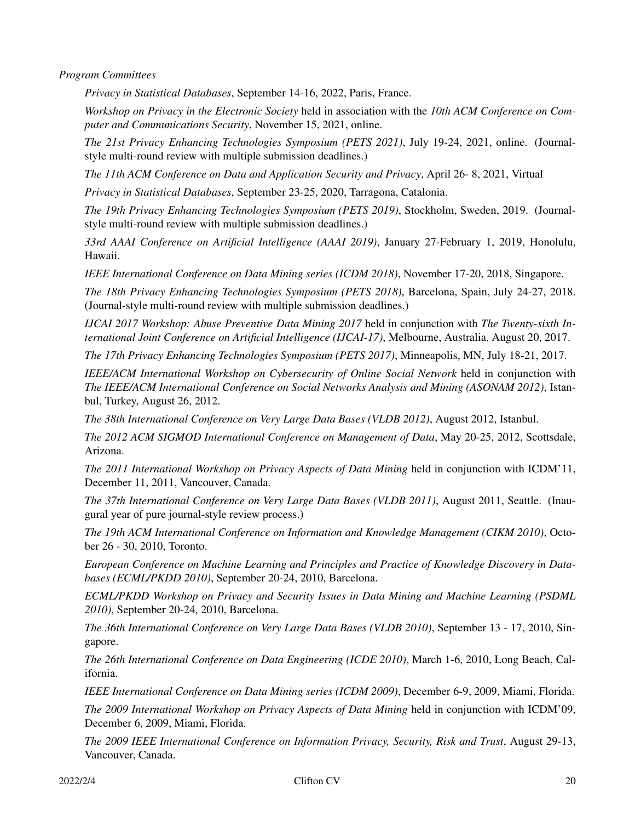*Program Committees*

*Privacy in Statistical Databases*, September 14-16, 2022, Paris, France.

*Workshop on Privacy in the Electronic Society* held in association with the *10th ACM Conference on Computer and Communications Security*, November 15, 2021, online.

*The 21st Privacy Enhancing Technologies Symposium (PETS 2021)*, July 19-24, 2021, online. (Journalstyle multi-round review with multiple submission deadlines.)

*The 11th ACM Conference on Data and Application Security and Privacy*, April 26- 8, 2021, Virtual

*Privacy in Statistical Databases*, September 23-25, 2020, Tarragona, Catalonia.

*The 19th Privacy Enhancing Technologies Symposium (PETS 2019)*, Stockholm, Sweden, 2019. (Journalstyle multi-round review with multiple submission deadlines.)

*33rd AAAI Conference on Artificial Intelligence (AAAI 2019)*, January 27-February 1, 2019, Honolulu, Hawaii.

*IEEE International Conference on Data Mining series (ICDM 2018)*, November 17-20, 2018, Singapore.

*The 18th Privacy Enhancing Technologies Symposium (PETS 2018)*, Barcelona, Spain, July 24-27, 2018. (Journal-style multi-round review with multiple submission deadlines.)

*IJCAI 2017 Workshop: Abuse Preventive Data Mining 2017* held in conjunction with *The Twenty-sixth International Joint Conference on Artificial Intelligence (IJCAI-17)*, Melbourne, Australia, August 20, 2017.

*The 17th Privacy Enhancing Technologies Symposium (PETS 2017)*, Minneapolis, MN, July 18-21, 2017.

*IEEE/ACM International Workshop on Cybersecurity of Online Social Network* held in conjunction with *The IEEE/ACM International Conference on Social Networks Analysis and Mining (ASONAM 2012)*, Istanbul, Turkey, August 26, 2012.

*The 38th International Conference on Very Large Data Bases (VLDB 2012)*, August 2012, Istanbul.

*The 2012 ACM SIGMOD International Conference on Management of Data*, May 20-25, 2012, Scottsdale, Arizona.

*The 2011 International Workshop on Privacy Aspects of Data Mining* held in conjunction with ICDM'11, December 11, 2011, Vancouver, Canada.

*The 37th International Conference on Very Large Data Bases (VLDB 2011)*, August 2011, Seattle. (Inaugural year of pure journal-style review process.)

*The 19th ACM International Conference on Information and Knowledge Management (CIKM 2010)*, October 26 - 30, 2010, Toronto.

*European Conference on Machine Learning and Principles and Practice of Knowledge Discovery in Databases (ECML/PKDD 2010)*, September 20-24, 2010, Barcelona.

*ECML/PKDD Workshop on Privacy and Security Issues in Data Mining and Machine Learning (PSDML 2010)*, September 20-24, 2010, Barcelona.

*The 36th International Conference on Very Large Data Bases (VLDB 2010)*, September 13 - 17, 2010, Singapore.

*The 26th International Conference on Data Engineering (ICDE 2010)*, March 1-6, 2010, Long Beach, California.

*IEEE International Conference on Data Mining series (ICDM 2009)*, December 6-9, 2009, Miami, Florida.

*The 2009 International Workshop on Privacy Aspects of Data Mining* held in conjunction with ICDM'09, December 6, 2009, Miami, Florida.

*The 2009 IEEE International Conference on Information Privacy, Security, Risk and Trust*, August 29-13, Vancouver, Canada.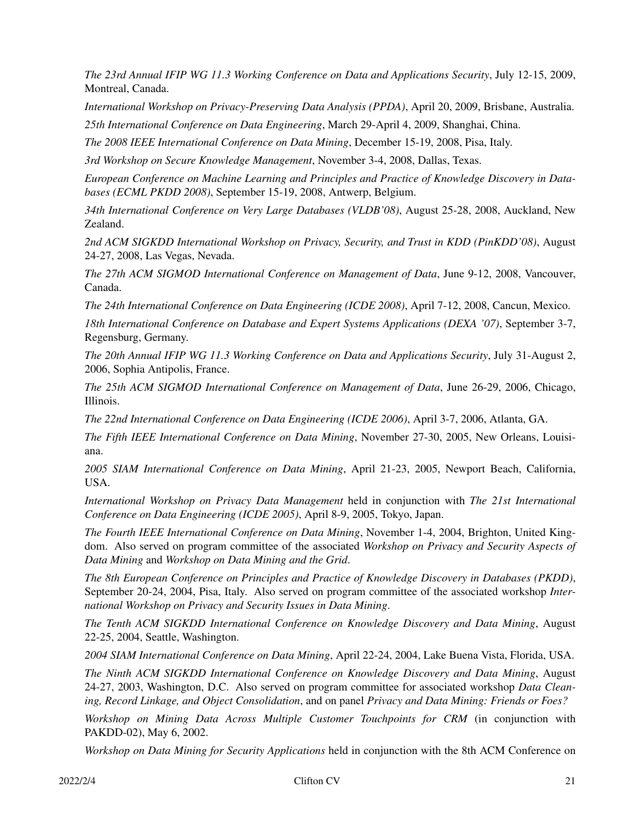*The 23rd Annual IFIP WG 11.3 Working Conference on Data and Applications Security*, July 12-15, 2009, Montreal, Canada.

*International Workshop on Privacy-Preserving Data Analysis (PPDA)*, April 20, 2009, Brisbane, Australia. *25th International Conference on Data Engineering*, March 29-April 4, 2009, Shanghai, China.

*The 2008 IEEE International Conference on Data Mining*, December 15-19, 2008, Pisa, Italy.

*3rd Workshop on Secure Knowledge Management*, November 3-4, 2008, Dallas, Texas.

*European Conference on Machine Learning and Principles and Practice of Knowledge Discovery in Databases (ECML PKDD 2008)*, September 15-19, 2008, Antwerp, Belgium.

*34th International Conference on Very Large Databases (VLDB'08)*, August 25-28, 2008, Auckland, New Zealand.

*2nd ACM SIGKDD International Workshop on Privacy, Security, and Trust in KDD (PinKDD'08)*, August 24-27, 2008, Las Vegas, Nevada.

*The 27th ACM SIGMOD International Conference on Management of Data*, June 9-12, 2008, Vancouver, Canada.

*The 24th International Conference on Data Engineering (ICDE 2008)*, April 7-12, 2008, Cancun, Mexico.

*18th International Conference on Database and Expert Systems Applications (DEXA '07)*, September 3-7, Regensburg, Germany.

*The 20th Annual IFIP WG 11.3 Working Conference on Data and Applications Security*, July 31-August 2, 2006, Sophia Antipolis, France.

*The 25th ACM SIGMOD International Conference on Management of Data*, June 26-29, 2006, Chicago, Illinois.

*The 22nd International Conference on Data Engineering (ICDE 2006)*, April 3-7, 2006, Atlanta, GA.

*The Fifth IEEE International Conference on Data Mining*, November 27-30, 2005, New Orleans, Louisiana.

*2005 SIAM International Conference on Data Mining*, April 21-23, 2005, Newport Beach, California, USA.

*International Workshop on Privacy Data Management* held in conjunction with *The 21st International Conference on Data Engineering (ICDE 2005)*, April 8-9, 2005, Tokyo, Japan.

*The Fourth IEEE International Conference on Data Mining*, November 1-4, 2004, Brighton, United Kingdom. Also served on program committee of the associated *Workshop on Privacy and Security Aspects of Data Mining* and *Workshop on Data Mining and the Grid*.

*The 8th European Conference on Principles and Practice of Knowledge Discovery in Databases (PKDD)*, September 20-24, 2004, Pisa, Italy. Also served on program committee of the associated workshop *International Workshop on Privacy and Security Issues in Data Mining*.

*The Tenth ACM SIGKDD International Conference on Knowledge Discovery and Data Mining*, August 22-25, 2004, Seattle, Washington.

*2004 SIAM International Conference on Data Mining*, April 22-24, 2004, Lake Buena Vista, Florida, USA.

*The Ninth ACM SIGKDD International Conference on Knowledge Discovery and Data Mining*, August 24-27, 2003, Washington, D.C. Also served on program committee for associated workshop *Data Cleaning, Record Linkage, and Object Consolidation*, and on panel *Privacy and Data Mining: Friends or Foes?*

*Workshop on Mining Data Across Multiple Customer Touchpoints for CRM* (in conjunction with PAKDD-02), May 6, 2002.

*Workshop on Data Mining for Security Applications* held in conjunction with the 8th ACM Conference on